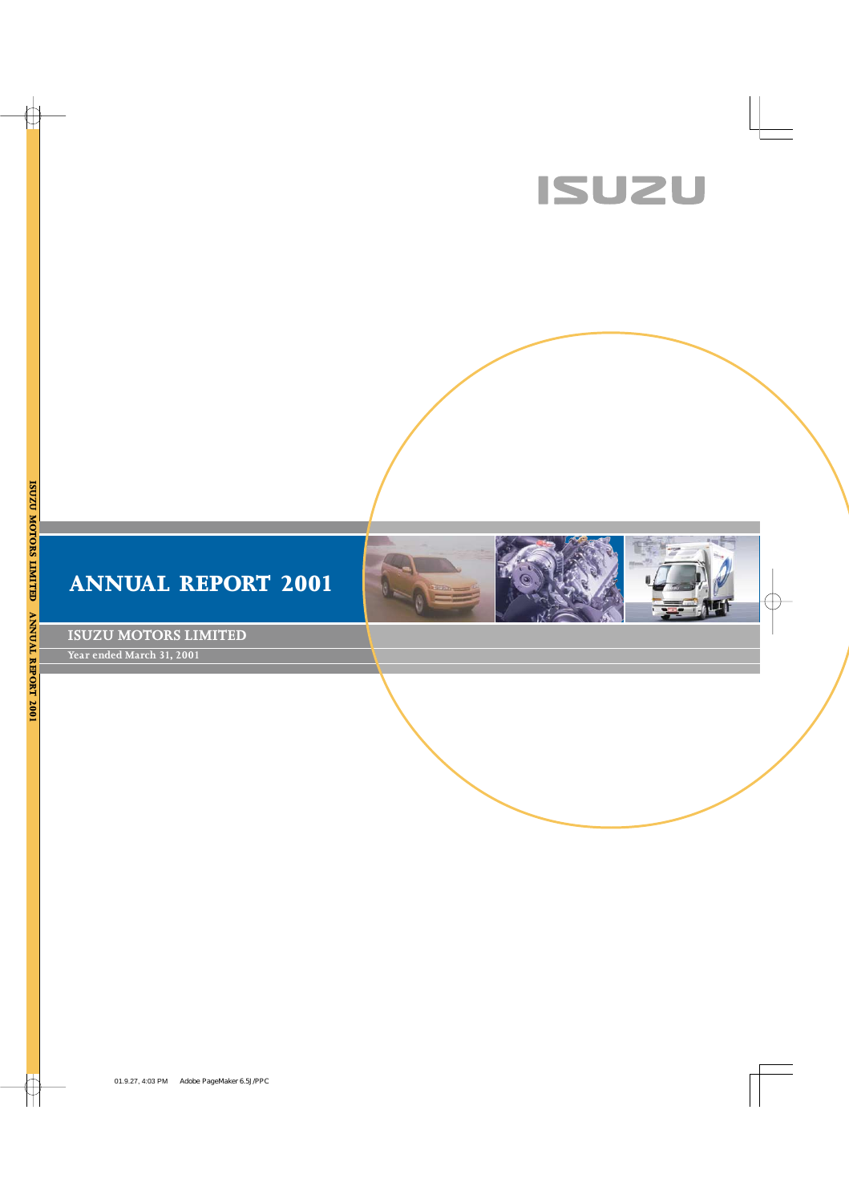





**ISUZU MOTORS LIMITED**

**Year ended March 31, 2001**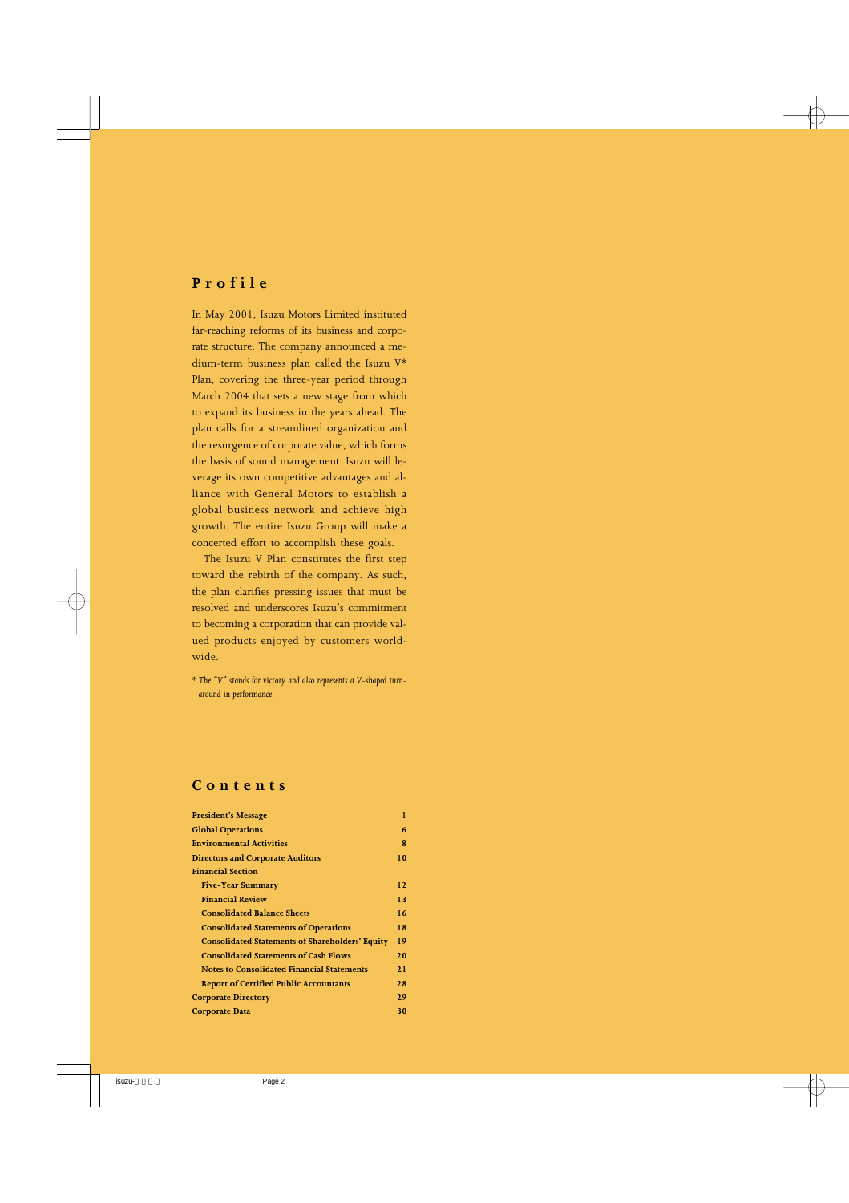## **Profile**

In May 2001, Isuzu Motors Limited instituted far-reaching reforms of its business and corporate structure. The company announced a medium-term business plan called the Isuzu V\* Plan, covering the three-year period through March 2004 that sets a new stage from which to expand its business in the years ahead. The plan calls for a streamlined organization and the resurgence of corporate value, which forms the basis of sound management. Isuzu will leverage its own competitive advantages and alliance with General Motors to establish a global business network and achieve high growth. The entire Isuzu Group will make a concerted effort to accomplish these goals.

The Isuzu V Plan constitutes the first step toward the rebirth of the company. As such, the plan clarifies pressing issues that must be resolved and underscores Isuzu's commitment to becoming a corporation that can provide valued products enjoyed by customers worldwide.

\* *The "V" stands for victory and also represents a V-shaped turnaround in performance.*

### **Contents**

| <b>President's Message</b>                             | 1  |
|--------------------------------------------------------|----|
| <b>Global Operations</b>                               | 6  |
| <b>Environmental Activities</b>                        | 8  |
| <b>Directors and Corporate Auditors</b>                | 10 |
| <b>Financial Section</b>                               |    |
| <b>Five-Year Summary</b>                               | 12 |
| <b>Financial Review</b>                                | 13 |
| <b>Consolidated Balance Sheets</b>                     | 16 |
| <b>Consolidated Statements of Operations</b>           | 18 |
| <b>Consolidated Statements of Shareholders' Equity</b> | 19 |
| <b>Consolidated Statements of Cash Flows</b>           | 20 |
| <b>Notes to Consolidated Financial Statements</b>      | 21 |
| <b>Report of Certified Public Accountants</b>          | 28 |
| <b>Corporate Directory</b>                             | 29 |
| <b>Corporate Data</b>                                  | 30 |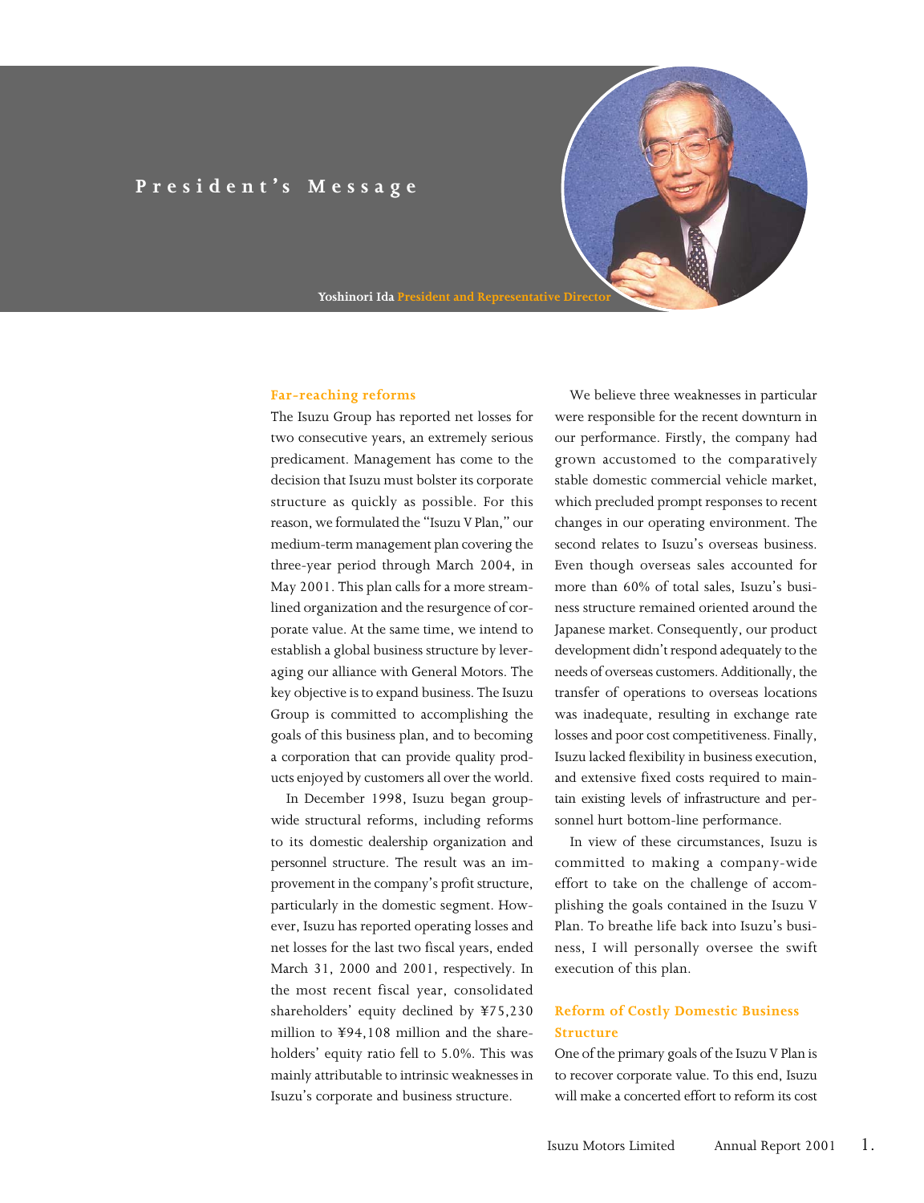## **President's Message**

**Yoshinori Ida Preside** 

#### **Far-reaching reforms**

The Isuzu Group has reported net losses for two consecutive years, an extremely serious predicament. Management has come to the decision that Isuzu must bolster its corporate structure as quickly as possible. For this reason, we formulated the "Isuzu V Plan," our medium-term management plan covering the three-year period through March 2004, in May 2001. This plan calls for a more streamlined organization and the resurgence of corporate value. At the same time, we intend to establish a global business structure by leveraging our alliance with General Motors. The key objective is to expand business. The Isuzu Group is committed to accomplishing the goals of this business plan, and to becoming a corporation that can provide quality products enjoyed by customers all over the world.

In December 1998, Isuzu began groupwide structural reforms, including reforms to its domestic dealership organization and personnel structure. The result was an improvement in the company's profit structure, particularly in the domestic segment. However, Isuzu has reported operating losses and net losses for the last two fiscal years, ended March 31, 2000 and 2001, respectively. In the most recent fiscal year, consolidated shareholders' equity declined by ¥75,230 million to ¥94,108 million and the shareholders' equity ratio fell to 5.0%. This was mainly attributable to intrinsic weaknesses in Isuzu's corporate and business structure.

We believe three weaknesses in particular were responsible for the recent downturn in our performance. Firstly, the company had grown accustomed to the comparatively stable domestic commercial vehicle market, which precluded prompt responses to recent changes in our operating environment. The second relates to Isuzu's overseas business. Even though overseas sales accounted for more than 60% of total sales, Isuzu's business structure remained oriented around the Japanese market. Consequently, our product development didn't respond adequately to the needs of overseas customers. Additionally, the transfer of operations to overseas locations was inadequate, resulting in exchange rate losses and poor cost competitiveness. Finally, Isuzu lacked flexibility in business execution, and extensive fixed costs required to maintain existing levels of infrastructure and personnel hurt bottom-line performance.

In view of these circumstances, Isuzu is committed to making a company-wide effort to take on the challenge of accomplishing the goals contained in the Isuzu V Plan. To breathe life back into Isuzu's business, I will personally oversee the swift execution of this plan.

### **Reform of Costly Domestic Business Structure**

One of the primary goals of the Isuzu V Plan is to recover corporate value. To this end, Isuzu will make a concerted effort to reform its cost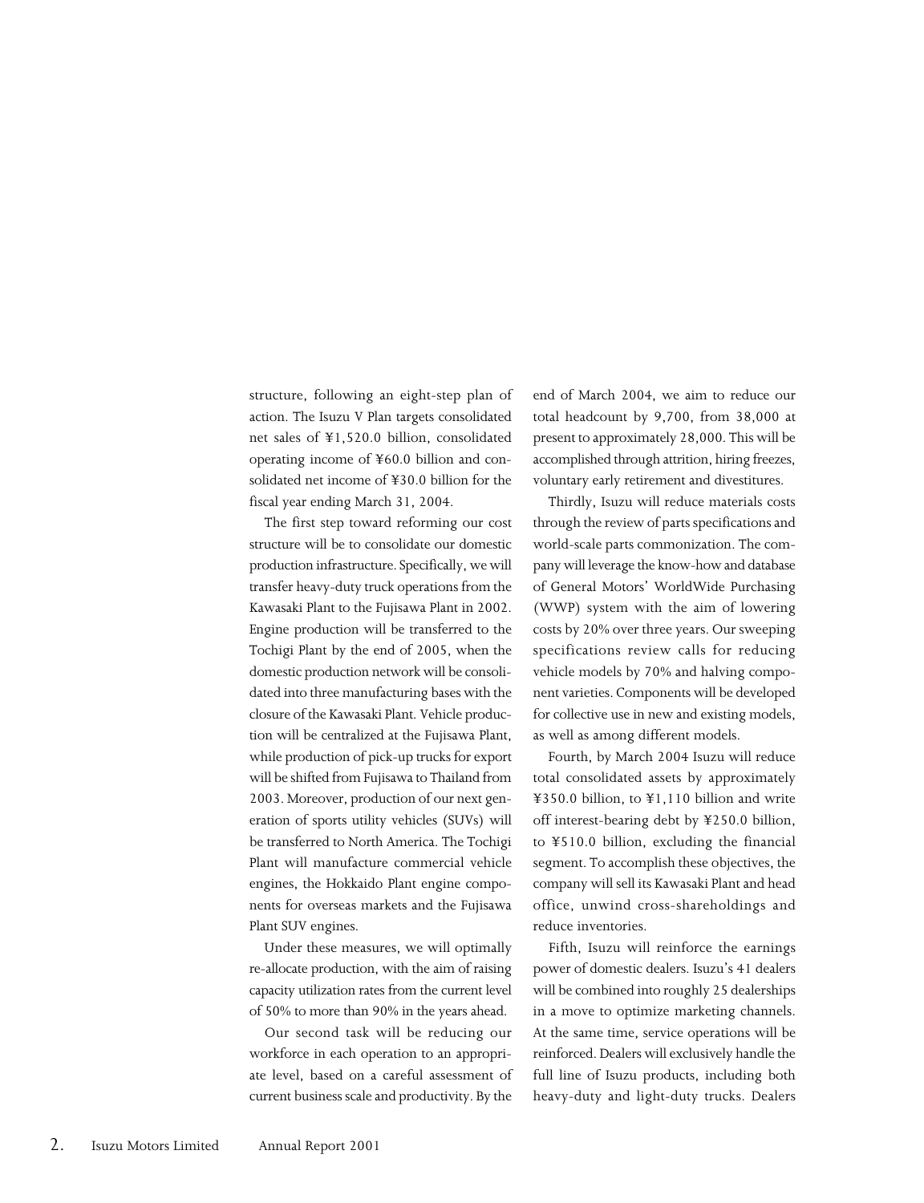structure, following an eight-step plan of action. The Isuzu V Plan targets consolidated net sales of ¥1,520.0 billion, consolidated operating income of ¥60.0 billion and consolidated net income of ¥30.0 billion for the fiscal year ending March 31, 2004.

The first step toward reforming our cost structure will be to consolidate our domestic production infrastructure. Specifically, we will transfer heavy-duty truck operations from the Kawasaki Plant to the Fujisawa Plant in 2002. Engine production will be transferred to the Tochigi Plant by the end of 2005, when the domestic production network will be consolidated into three manufacturing bases with the closure of the Kawasaki Plant. Vehicle production will be centralized at the Fujisawa Plant, while production of pick-up trucks for export will be shifted from Fujisawa to Thailand from 2003. Moreover, production of our next generation of sports utility vehicles (SUVs) will be transferred to North America. The Tochigi Plant will manufacture commercial vehicle engines, the Hokkaido Plant engine components for overseas markets and the Fujisawa Plant SUV engines.

Under these measures, we will optimally re-allocate production, with the aim of raising capacity utilization rates from the current level of 50% to more than 90% in the years ahead.

Our second task will be reducing our workforce in each operation to an appropriate level, based on a careful assessment of current business scale and productivity. By the

end of March 2004, we aim to reduce our total headcount by 9,700, from 38,000 at present to approximately 28,000. This will be accomplished through attrition, hiring freezes, voluntary early retirement and divestitures.

Thirdly, Isuzu will reduce materials costs through the review of parts specifications and world-scale parts commonization. The company will leverage the know-how and database of General Motors' WorldWide Purchasing (WWP) system with the aim of lowering costs by 20% over three years. Our sweeping specifications review calls for reducing vehicle models by 70% and halving component varieties. Components will be developed for collective use in new and existing models, as well as among different models.

Fourth, by March 2004 Isuzu will reduce total consolidated assets by approximately ¥350.0 billion, to ¥1,110 billion and write off interest-bearing debt by ¥250.0 billion, to ¥510.0 billion, excluding the financial segment. To accomplish these objectives, the company will sell its Kawasaki Plant and head office, unwind cross-shareholdings and reduce inventories.

Fifth, Isuzu will reinforce the earnings power of domestic dealers. Isuzu's 41 dealers will be combined into roughly 25 dealerships in a move to optimize marketing channels. At the same time, service operations will be reinforced. Dealers will exclusively handle the full line of Isuzu products, including both heavy-duty and light-duty trucks. Dealers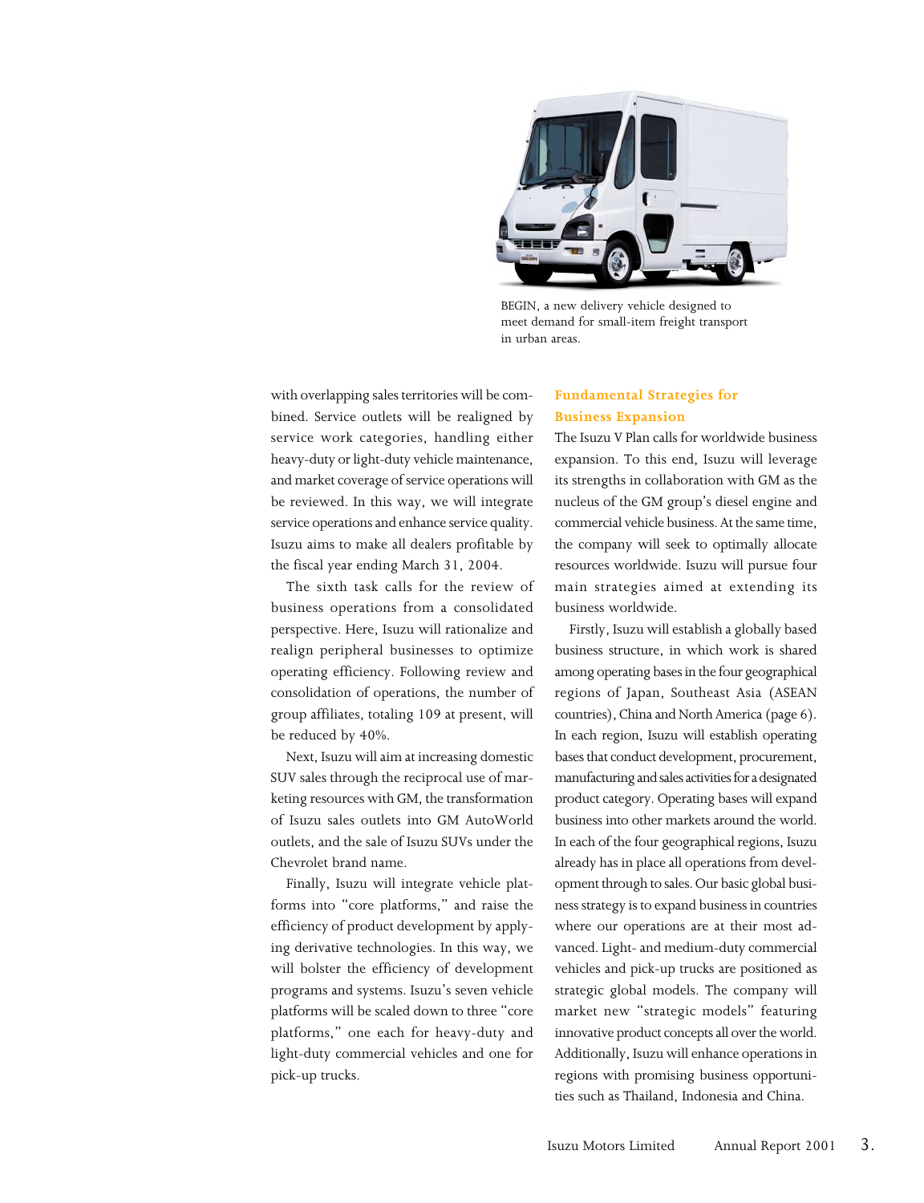

BEGIN, a new delivery vehicle designed to meet demand for small-item freight transport in urban areas.

with overlapping sales territories will be combined. Service outlets will be realigned by service work categories, handling either heavy-duty or light-duty vehicle maintenance, and market coverage of service operations will be reviewed. In this way, we will integrate service operations and enhance service quality. Isuzu aims to make all dealers profitable by the fiscal year ending March 31, 2004.

The sixth task calls for the review of business operations from a consolidated perspective. Here, Isuzu will rationalize and realign peripheral businesses to optimize operating efficiency. Following review and consolidation of operations, the number of group affiliates, totaling 109 at present, will be reduced by 40%.

Next, Isuzu will aim at increasing domestic SUV sales through the reciprocal use of marketing resources with GM, the transformation of Isuzu sales outlets into GM AutoWorld outlets, and the sale of Isuzu SUVs under the Chevrolet brand name.

Finally, Isuzu will integrate vehicle platforms into "core platforms," and raise the efficiency of product development by applying derivative technologies. In this way, we will bolster the efficiency of development programs and systems. Isuzu's seven vehicle platforms will be scaled down to three "core platforms," one each for heavy-duty and light-duty commercial vehicles and one for pick-up trucks.

#### **Fundamental Strategies for Business Expansion**

The Isuzu V Plan calls for worldwide business expansion. To this end, Isuzu will leverage its strengths in collaboration with GM as the nucleus of the GM group's diesel engine and commercial vehicle business. At the same time, the company will seek to optimally allocate resources worldwide. Isuzu will pursue four main strategies aimed at extending its business worldwide.

Firstly, Isuzu will establish a globally based business structure, in which work is shared among operating bases in the four geographical regions of Japan, Southeast Asia (ASEAN countries), China and North America (page 6). In each region, Isuzu will establish operating bases that conduct development, procurement, manufacturing and sales activities for a designated product category. Operating bases will expand business into other markets around the world. In each of the four geographical regions, Isuzu already has in place all operations from development through to sales. Our basic global business strategy is to expand business in countries where our operations are at their most advanced. Light- and medium-duty commercial vehicles and pick-up trucks are positioned as strategic global models. The company will market new "strategic models" featuring innovative product concepts all over the world. Additionally, Isuzu will enhance operations in regions with promising business opportunities such as Thailand, Indonesia and China.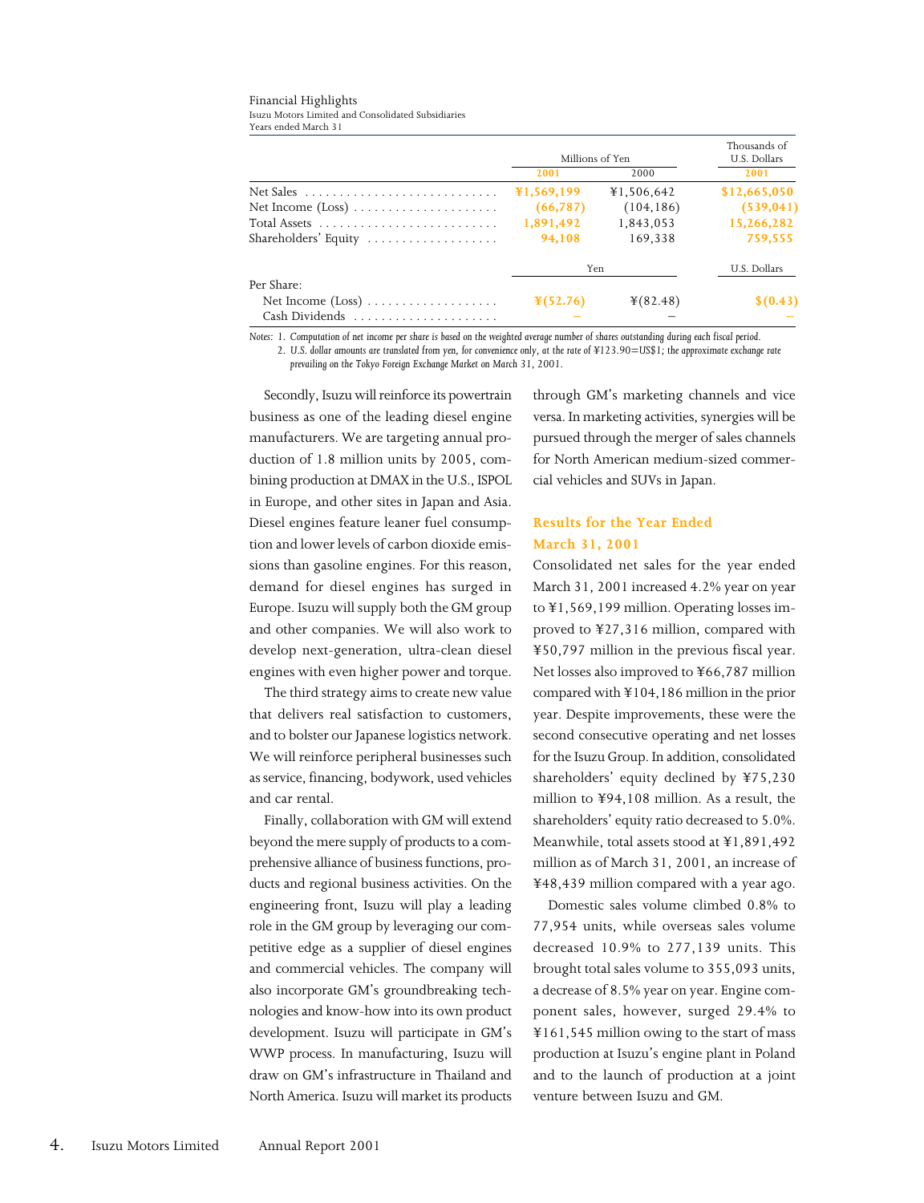#### Financial Highlights

Isuzu Motors Limited and Consolidated Subsidiaries Years ended March 31

|                      | Millions of Yen      |            | Thousands of<br>U.S. Dollars |
|----------------------|----------------------|------------|------------------------------|
|                      | 2001                 | 2000       | 2001                         |
|                      | ¥1,569,199           | ¥1.506.642 | \$12,665,050                 |
|                      | (66, 787)            | (104, 186) | (539, 041)                   |
|                      | 1,891,492            | 1,843,053  | 15,266,282                   |
| Shareholders' Equity | 94,108               | 169.338    | 759,555                      |
|                      |                      | <b>Yen</b> | U.S. Dollars                 |
| Per Share:           |                      |            |                              |
|                      | $\frac{1}{2}(52.76)$ | $*(82.48)$ | \$(0.43)                     |
|                      |                      |            |                              |

*Notes: 1. Computation of net income per share is based on the weighted average number of shares outstanding during each fiscal period.*

*2. U.S. dollar amounts are translated from yen, for convenience only, at the rate of ¥123.90=US\$1; the approximate exchange rate prevailing on the Tokyo Foreign Exchange Market on March 31, 2001.*

Secondly, Isuzu will reinforce its powertrain business as one of the leading diesel engine manufacturers. We are targeting annual production of 1.8 million units by 2005, combining production at DMAX in the U.S., ISPOL in Europe, and other sites in Japan and Asia. Diesel engines feature leaner fuel consumption and lower levels of carbon dioxide emissions than gasoline engines. For this reason, demand for diesel engines has surged in Europe. Isuzu will supply both the GM group and other companies. We will also work to develop next-generation, ultra-clean diesel engines with even higher power and torque.

The third strategy aims to create new value that delivers real satisfaction to customers, and to bolster our Japanese logistics network. We will reinforce peripheral businesses such as service, financing, bodywork, used vehicles and car rental.

Finally, collaboration with GM will extend beyond the mere supply of products to a comprehensive alliance of business functions, products and regional business activities. On the engineering front, Isuzu will play a leading role in the GM group by leveraging our competitive edge as a supplier of diesel engines and commercial vehicles. The company will also incorporate GM's groundbreaking technologies and know-how into its own product development. Isuzu will participate in GM's WWP process. In manufacturing, Isuzu will draw on GM's infrastructure in Thailand and North America. Isuzu will market its products

through GM's marketing channels and vice versa. In marketing activities, synergies will be pursued through the merger of sales channels for North American medium-sized commercial vehicles and SUVs in Japan.

### **Results for the Year Ended March 31, 2001**

Consolidated net sales for the year ended March 31, 2001 increased 4.2% year on year to ¥1,569,199 million. Operating losses improved to ¥27,316 million, compared with ¥50,797 million in the previous fiscal year. Net losses also improved to ¥66,787 million compared with ¥104,186 million in the prior year. Despite improvements, these were the second consecutive operating and net losses for the Isuzu Group. In addition, consolidated shareholders' equity declined by ¥75,230 million to ¥94,108 million. As a result, the shareholders' equity ratio decreased to 5.0%. Meanwhile, total assets stood at ¥1,891,492 million as of March 31, 2001, an increase of ¥48,439 million compared with a year ago.

Domestic sales volume climbed 0.8% to 77,954 units, while overseas sales volume decreased 10.9% to 277,139 units. This brought total sales volume to 355,093 units, a decrease of 8.5% year on year. Engine component sales, however, surged 29.4% to ¥161,545 million owing to the start of mass production at Isuzu's engine plant in Poland and to the launch of production at a joint venture between Isuzu and GM.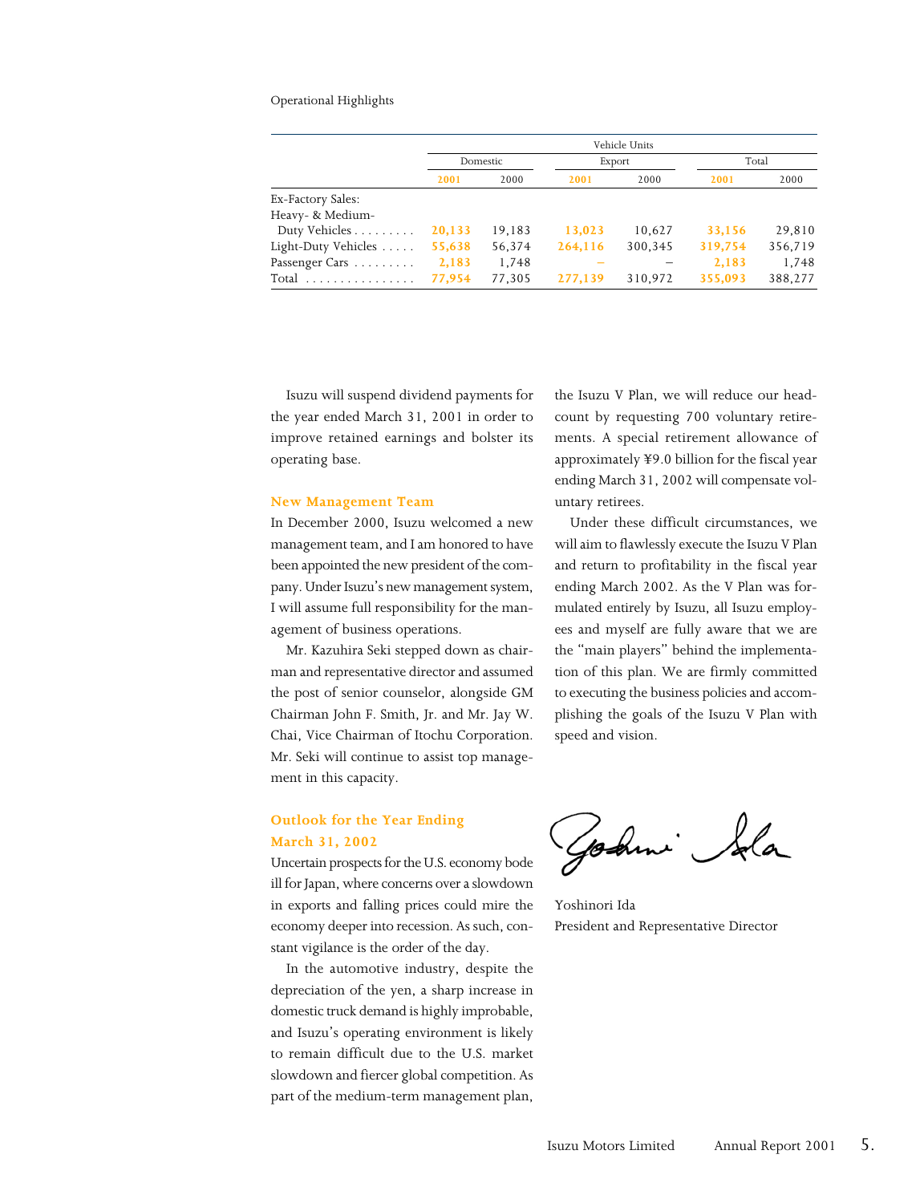#### Operational Highlights

|                     |          |        |         | Vehicle Units |         |         |
|---------------------|----------|--------|---------|---------------|---------|---------|
|                     | Domestic |        |         | Export        |         | Total   |
|                     | 2001     | 2000   | 2001    | 2000          | 2001    | 2000    |
| Ex-Factory Sales:   |          |        |         |               |         |         |
| Heavy- & Medium-    |          |        |         |               |         |         |
| Duty Vehicles       | 20,133   | 19,183 | 13,023  | 10,627        | 33,156  | 29,810  |
| Light-Duty Vehicles | 55,638   | 56,374 | 264,116 | 300,345       | 319,754 | 356,719 |
| Passenger Cars      | 2,183    | 1,748  |         |               | 2,183   | 1,748   |
| Total               | 77,954   | 77,305 | 277,139 | 310,972       | 355,093 | 388,277 |

Isuzu will suspend dividend payments for the year ended March 31, 2001 in order to improve retained earnings and bolster its operating base.

#### **New Management Team**

In December 2000, Isuzu welcomed a new management team, and I am honored to have been appointed the new president of the company. Under Isuzu's new management system, I will assume full responsibility for the management of business operations.

Mr. Kazuhira Seki stepped down as chairman and representative director and assumed the post of senior counselor, alongside GM Chairman John F. Smith, Jr. and Mr. Jay W. Chai, Vice Chairman of Itochu Corporation. Mr. Seki will continue to assist top management in this capacity.

#### **Outlook for the Year Ending March 31, 2002**

Uncertain prospects for the U.S. economy bode ill for Japan, where concerns over a slowdown in exports and falling prices could mire the economy deeper into recession. As such, constant vigilance is the order of the day.

In the automotive industry, despite the depreciation of the yen, a sharp increase in domestic truck demand is highly improbable, and Isuzu's operating environment is likely to remain difficult due to the U.S. market slowdown and fiercer global competition. As part of the medium-term management plan,

the Isuzu V Plan, we will reduce our headcount by requesting 700 voluntary retirements. A special retirement allowance of approximately ¥9.0 billion for the fiscal year ending March 31, 2002 will compensate voluntary retirees.

Under these difficult circumstances, we will aim to flawlessly execute the Isuzu V Plan and return to profitability in the fiscal year ending March 2002. As the V Plan was formulated entirely by Isuzu, all Isuzu employees and myself are fully aware that we are the "main players" behind the implementation of this plan. We are firmly committed to executing the business policies and accomplishing the goals of the Isuzu V Plan with speed and vision.

Godini Ida

Yoshinori Ida President and Representative Director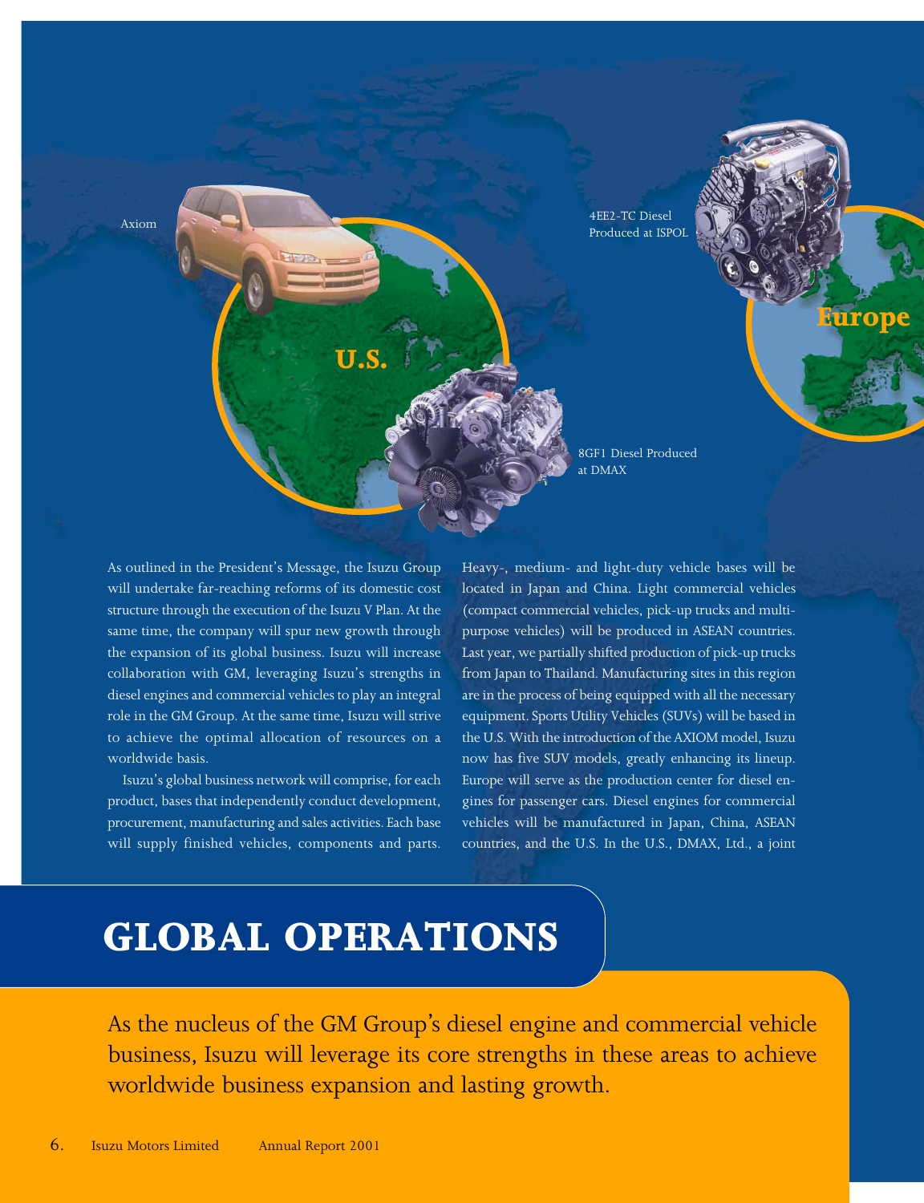

As outlined in the President's Message, the Isuzu Group will undertake far-reaching reforms of its domestic cost structure through the execution of the Isuzu V Plan. At the same time, the company will spur new growth through the expansion of its global business. Isuzu will increase collaboration with GM, leveraging Isuzu's strengths in diesel engines and commercial vehicles to play an integral role in the GM Group. At the same time, Isuzu will strive to achieve the optimal allocation of resources on a worldwide basis.

Isuzu's global business network will comprise, for each product, bases that independently conduct development, procurement, manufacturing and sales activities. Each base will supply finished vehicles, components and parts.

Heavy-, medium- and light-duty vehicle bases will be located in Japan and China. Light commercial vehicles (compact commercial vehicles, pick-up trucks and multipurpose vehicles) will be produced in ASEAN countries. Last year, we partially shifted production of pick-up trucks from Japan to Thailand. Manufacturing sites in this region are in the process of being equipped with all the necessary equipment. Sports Utility Vehicles (SUVs) will be based in the U.S. With the introduction of the AXIOM model, Isuzu now has five SUV models, greatly enhancing its lineup. Europe will serve as the production center for diesel engines for passenger cars. Diesel engines for commercial vehicles will be manufactured in Japan, China, ASEAN countries, and the U.S. In the U.S., DMAX, Ltd., a joint

# **GLOBAL OPERATIONS**

As the nucleus of the GM Group's diesel engine and commercial vehicle business, Isuzu will leverage its core strengths in these areas to achieve worldwide business expansion and lasting growth.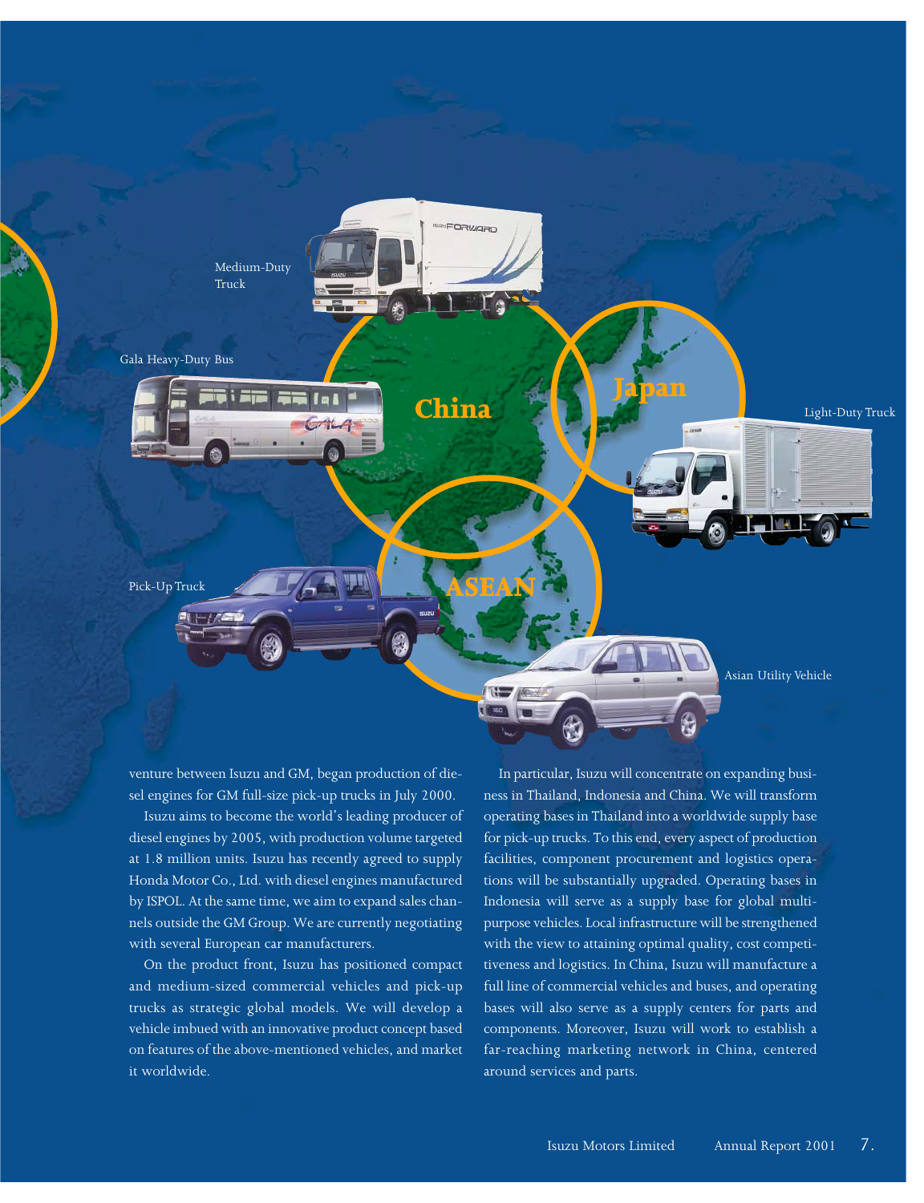

venture between Isuzu and GM, began production of diesel engines for GM full-size pick-up trucks in July 2000.

Isuzu aims to become the world's leading producer of diesel engines by 2005, with production volume targeted at 1.8 million units. Isuzu has recently agreed to supply Honda Motor Co., Ltd. with diesel engines manufactured by ISPOL. At the same time, we aim to expand sales channels outside the GM Group. We are currently negotiating with several European car manufacturers.

On the product front, Isuzu has positioned compact and medium-sized commercial vehicles and pick-up trucks as strategic global models. We will develop a vehicle imbued with an innovative product concept based on features of the above-mentioned vehicles, and market it worldwide.

In particular, Isuzu will concentrate on expanding business in Thailand, Indonesia and China. We will transform operating bases in Thailand into a worldwide supply base for pick-up trucks. To this end, every aspect of production facilities, component procurement and logistics operations will be substantially upgraded. Operating bases in Indonesia will serve as a supply base for global multipurpose vehicles. Local infrastructure will be strengthened with the view to attaining optimal quality, cost competitiveness and logistics. In China, Isuzu will manufacture a full line of commercial vehicles and buses, and operating bases will also serve as a supply centers for parts and components. Moreover, Isuzu will work to establish a far-reaching marketing network in China, centered around services and parts.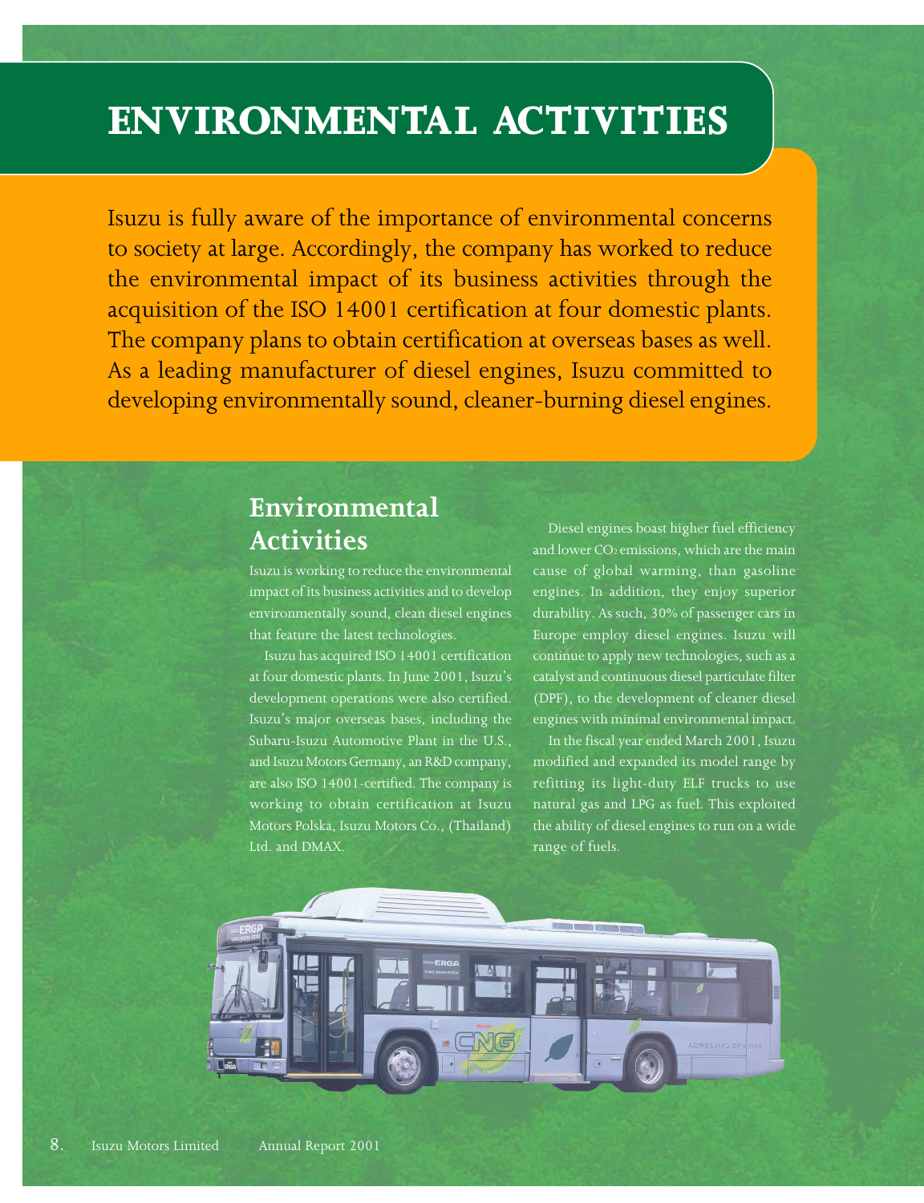# **ENVIRONMENTAL ACTIVITIES**

Isuzu is fully aware of the importance of environmental concerns to society at large. Accordingly, the company has worked to reduce the environmental impact of its business activities through the acquisition of the ISO 14001 certification at four domestic plants. The company plans to obtain certification at overseas bases as well. As a leading manufacturer of diesel engines, Isuzu committed to developing environmentally sound, cleaner-burning diesel engines.

## **Environmental Activities**

Isuzu is working to reduce the environmental impact of its business activities and to develop environmentally sound, clean diesel engines that feature the latest technologies.

Isuzu has acquired ISO 14001 certification at four domestic plants. In June 2001, Isuzu's development operations were also certified. Isuzu's major overseas bases, including the Subaru-Isuzu Automotive Plant in the U.S., and Isuzu Motors Germany, an R&D company, are also ISO 14001-certified. The company is working to obtain certification at Isuzu Motors Polska, Isuzu Motors Co., (Thailand) Ltd. and DMAX.

Diesel engines boast higher fuel efficiency and lower  $CO<sub>2</sub>$  emissions, which are the main cause of global warming, than gasoline engines. In addition, they enjoy superior durability. As such, 30% of passenger cars in Europe employ diesel engines. Isuzu will continue to apply new technologies, such as a catalyst and continuous diesel particulate filter (DPF), to the development of cleaner diesel engines with minimal environmental impact.

In the fiscal year ended March 2001, Isuzu modified and expanded its model range by refitting its light-duty ELF trucks to use natural gas and LPG as fuel. This exploited the ability of diesel engines to run on a wide range of fuels.

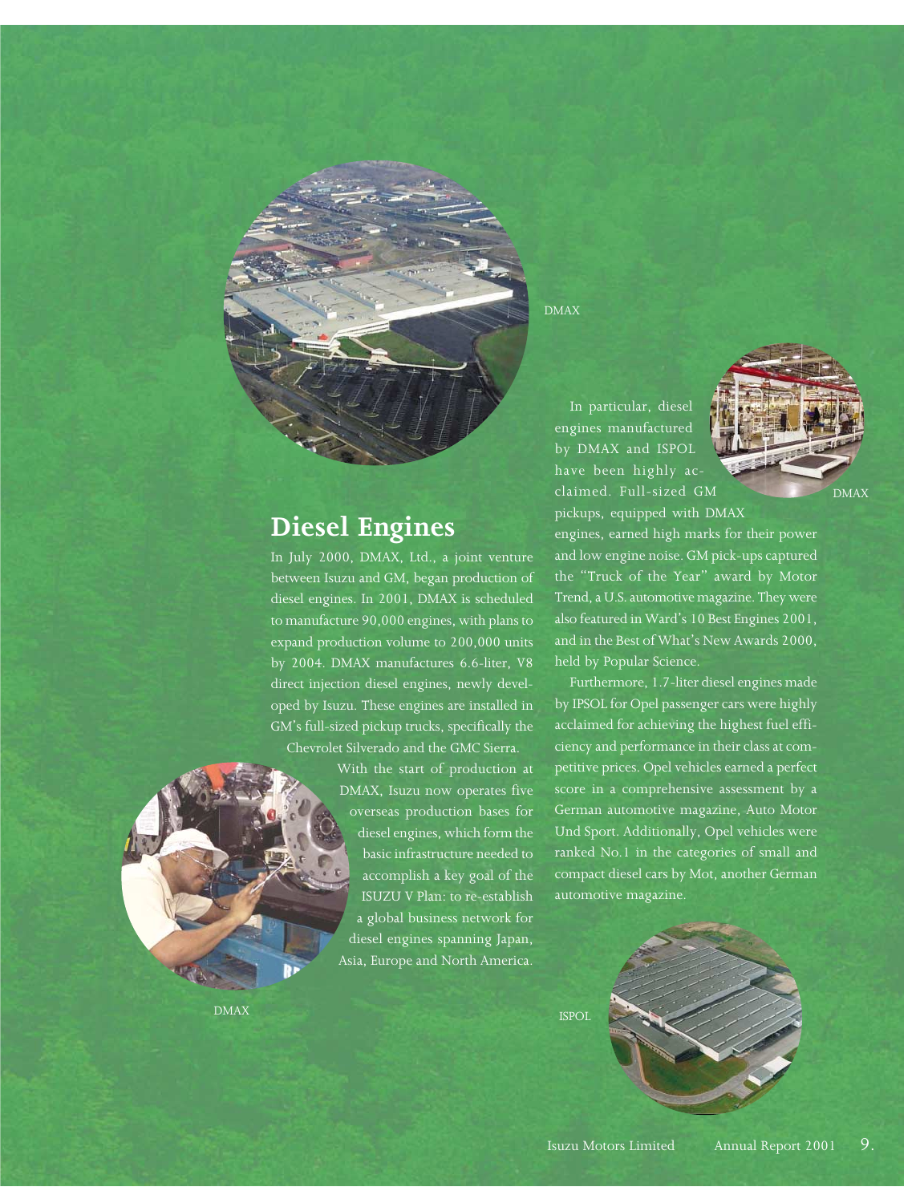## **Diesel Engines**

In July 2000, DMAX, Ltd., a joint venture between Isuzu and GM, began production of diesel engines. In 2001, DMAX is scheduled to manufacture 90,000 engines, with plans to expand production volume to 200,000 units by 2004. DMAX manufactures 6.6-liter, V8 direct injection diesel engines, newly developed by Isuzu. These engines are installed in GM's full-sized pickup trucks, specifically the Chevrolet Silverado and the GMC Sierra.

> With the start of production at DMAX, Isuzu now operates five overseas production bases for diesel engines, which form the basic infrastructure needed to accomplish a key goal of the ISUZU V Plan: to re-establish a global business network for diesel engines spanning Japan, Asia, Europe and North America.

DMAX

In particular, diesel engines manufactured by DMAX and ISPOL have been highly acclaimed. Full-sized GM pickups, equipped with DMAX

DMAX

engines, earned high marks for their power and low engine noise. GM pick-ups captured the "Truck of the Year" award by Motor Trend, a U.S. automotive magazine. They were also featured in Ward's 10 Best Engines 2001, and in the Best of What's New Awards 2000, held by Popular Science.

Furthermore, 1.7-liter diesel engines made by IPSOL for Opel passenger cars were highly acclaimed for achieving the highest fuel efficiency and performance in their class at competitive prices. Opel vehicles earned a perfect score in a comprehensive assessment by a German automotive magazine, Auto Motor Und Sport. Additionally, Opel vehicles were ranked No.1 in the categories of small and compact diesel cars by Mot, another German automotive magazine.

**ISPOL** 

DMAX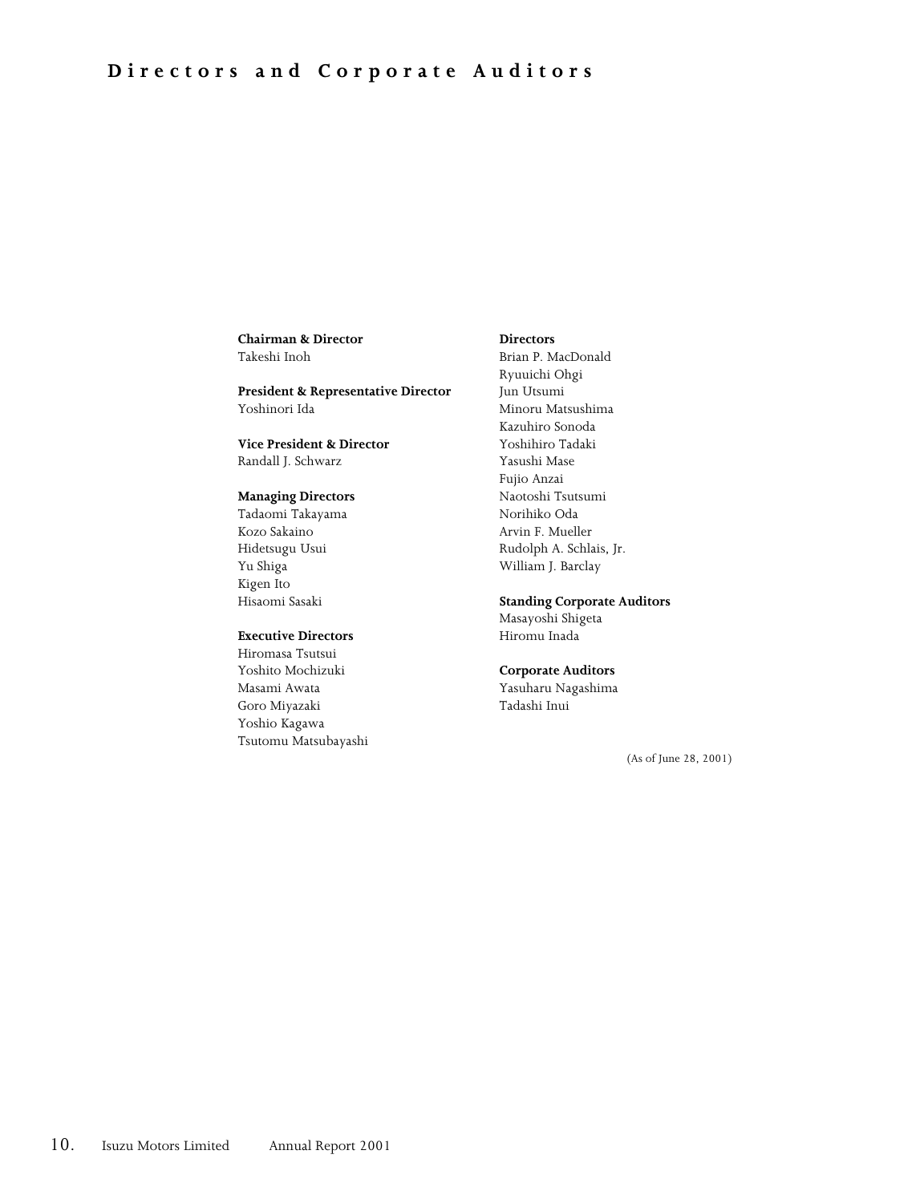**Chairman & Director** Takeshi Inoh

**President & Representative Director** Yoshinori Ida

**Vice President & Director** Randall J. Schwarz

#### **Managing Directors**

Tadaomi Takayama Kozo Sakaino Hidetsugu Usui Yu Shiga Kigen Ito Hisaomi Sasaki

#### **Executive Directors**

Hiromasa Tsutsui Yoshito Mochizuki Masami Awata Goro Miyazaki Yoshio Kagawa Tsutomu Matsubayashi

#### **Directors**

Brian P. MacDonald Ryuuichi Ohgi Jun Utsumi Minoru Matsushima Kazuhiro Sonoda Yoshihiro Tadaki Yasushi Mase Fujio Anzai Naotoshi Tsutsumi Norihiko Oda Arvin F. Mueller Rudolph A. Schlais, Jr. William J. Barclay

#### **Standing Corporate Auditors**

Masayoshi Shigeta Hiromu Inada

#### **Corporate Auditors**

Yasuharu Nagashima Tadashi Inui

(As of June 28, 2001)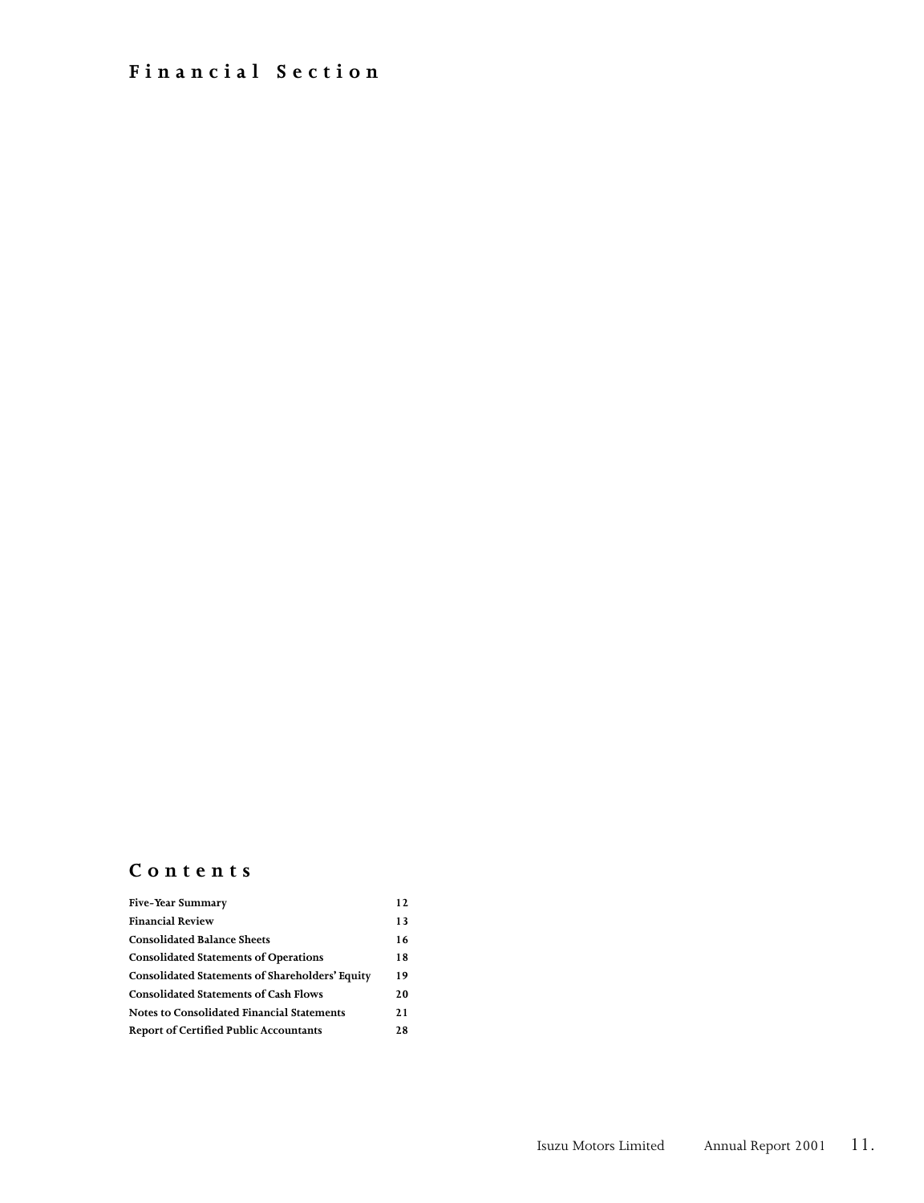## **Financial Section**

## **Contents**

| <b>Five-Year Summary</b>                               | 12  |
|--------------------------------------------------------|-----|
| <b>Financial Review</b>                                | 13  |
| <b>Consolidated Balance Sheets</b>                     | 16  |
| <b>Consolidated Statements of Operations</b>           | 18  |
| <b>Consolidated Statements of Shareholders' Equity</b> | 19  |
| <b>Consolidated Statements of Cash Flows</b>           | 20  |
| <b>Notes to Consolidated Financial Statements</b>      | 2.1 |
| <b>Report of Certified Public Accountants</b>          | 2.8 |
|                                                        |     |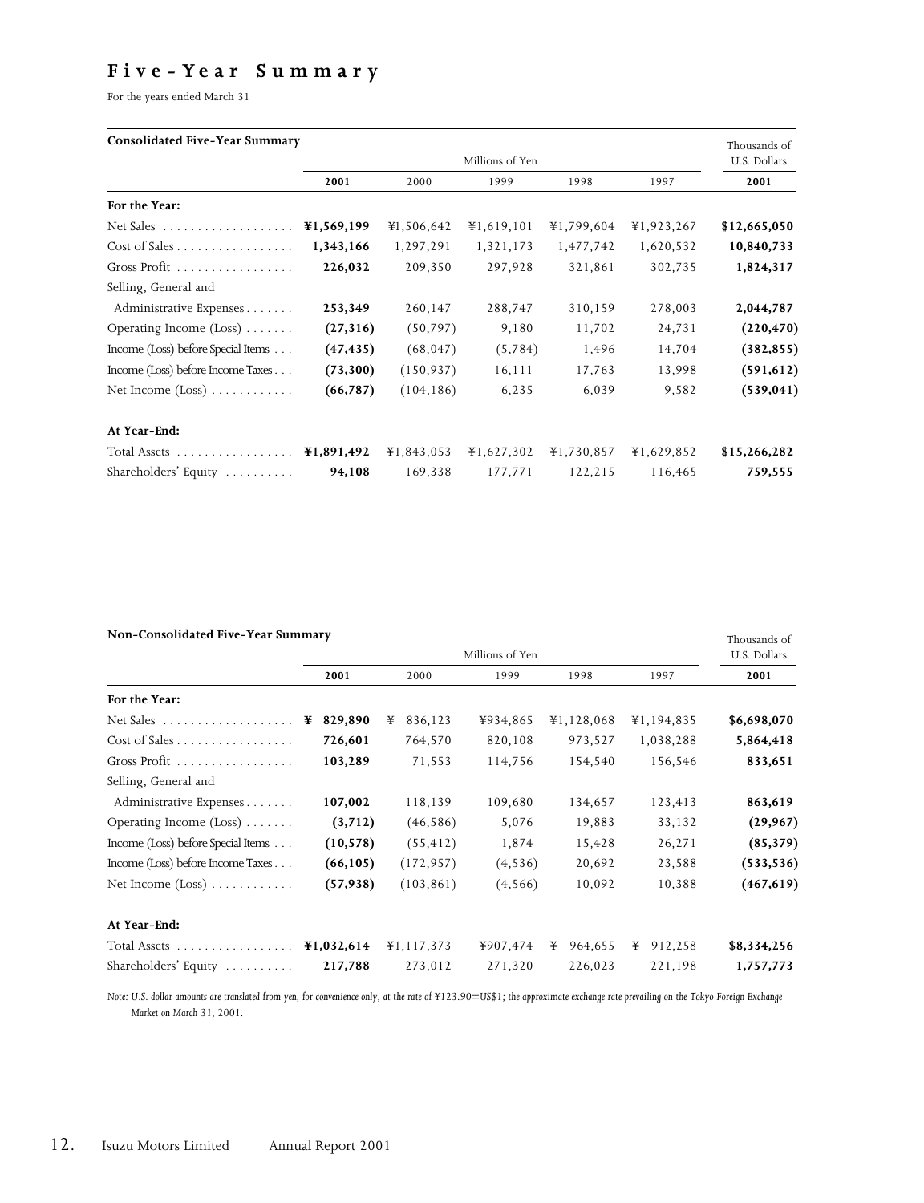## **F ive - Ye a r S u m m a r y**

For the years ended March 31

### **Consolidated Five-Year Summary**

| CONSOLIGATEG FIVE-TEAT SUMMATY              |            |            |                 |            |            | Thousands of |
|---------------------------------------------|------------|------------|-----------------|------------|------------|--------------|
|                                             |            |            | Millions of Yen |            |            | U.S. Dollars |
|                                             | 2001       | 2000       | 1999            | 1998       | 1997       | 2001         |
| For the Year:                               |            |            |                 |            |            |              |
|                                             | ¥1,569,199 | ¥1,506,642 | ¥1,619,101      | ¥1,799,604 | ¥1,923,267 | \$12,665,050 |
| $Cost of Sales \ldots \ldots \ldots \ldots$ | 1,343,166  | 1,297,291  | 1,321,173       | 1,477,742  | 1,620,532  | 10,840,733   |
| Gross Profit $\ldots \ldots \ldots \ldots$  | 226,032    | 209,350    | 297,928         | 321,861    | 302,735    | 1,824,317    |
| Selling, General and                        |            |            |                 |            |            |              |
| Administrative Expenses                     | 253,349    | 260,147    | 288,747         | 310,159    | 278,003    | 2,044,787    |
| Operating Income $(Loss)$                   | (27, 316)  | (50, 797)  | 9,180           | 11,702     | 24,731     | (220, 470)   |
| Income (Loss) before Special Items          | (47, 435)  | (68, 047)  | (5,784)         | 1,496      | 14,704     | (382, 855)   |
| Income (Loss) before Income Taxes           | (73,300)   | (150, 937) | 16,111          | 17,763     | 13,998     | (591, 612)   |
| Net Income $(Loss)$                         | (66, 787)  | (104, 186) | 6,235           | 6,039      | 9,582      | (539, 041)   |
| At Year-End:                                |            |            |                 |            |            |              |
|                                             |            | ¥1,843,053 | ¥1,627,302      | ¥1,730,857 | ¥1,629,852 | \$15,266,282 |
| Shareholders' Equity                        | 94,108     | 169,338    | 177,771         | 122,215    | 116,465    | 759,555      |

| Non-Consolidated Five-Year Summary          |              |              |          |            |              | Thousands of |
|---------------------------------------------|--------------|--------------|----------|------------|--------------|--------------|
| Millions of Yen                             |              |              |          |            | U.S. Dollars |              |
|                                             | 2001         | 2000         | 1999     | 1998       | 1997         | 2001         |
| For the Year:                               |              |              |          |            |              |              |
|                                             | 829,890<br>¥ | 836,123<br>¥ | ¥934,865 | ¥1,128,068 | ¥1,194,835   | \$6,698,070  |
| $Cost of Sales \ldots \ldots \ldots \ldots$ | 726,601      | 764,570      | 820,108  | 973,527    | 1,038,288    | 5,864,418    |
| Gross Profit $\ldots \ldots \ldots \ldots$  | 103,289      | 71,553       | 114,756  | 154,540    | 156,546      | 833,651      |
| Selling, General and                        |              |              |          |            |              |              |
| Administrative Expenses                     | 107,002      | 118,139      | 109,680  | 134,657    | 123,413      | 863,619      |
| Operating Income $(Loss)$                   | (3,712)      | (46, 586)    | 5,076    | 19,883     | 33,132       | (29, 967)    |
| Income (Loss) before Special Items          | (10, 578)    | (55, 412)    | 1,874    | 15,428     | 26,271       | (85, 379)    |
| Income (Loss) before Income Taxes           | (66, 105)    | (172, 957)   | (4, 536) | 20,692     | 23,588       | (533, 536)   |
| Net Income $(Loss)$                         | (57, 938)    | (103, 861)   | (4,566)  | 10,092     | 10,388       | (467, 619)   |
| At Year-End:                                |              |              |          |            |              |              |
|                                             |              | ¥1,117,373   | ¥907,474 | ¥ 964,655  | 912,258<br>¥ | \$8,334,256  |
| Shareholders' Equity $\ldots \ldots$        | 217,788      | 273,012      | 271,320  | 226,023    | 221,198      | 1,757,773    |

*Note: U.S. dollar amounts are translated from yen, for convenience only, at the rate of ¥123.90=US\$1; the approximate exchange rate prevailing on the Tokyo Foreign Exchange Market on March 31, 2001.*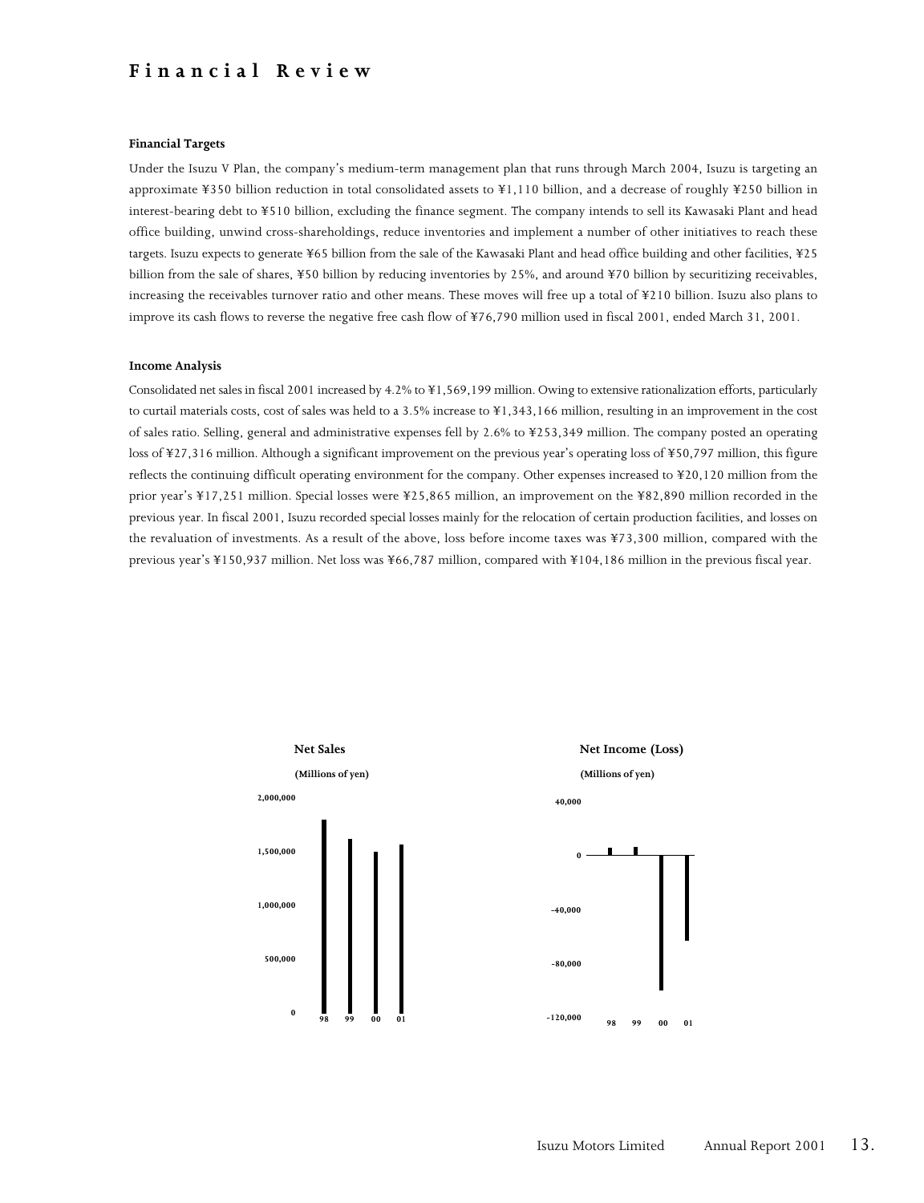### **Financial Review**

#### **Financial Targets**

Under the Isuzu V Plan, the company's medium-term management plan that runs through March 2004, Isuzu is targeting an approximate ¥350 billion reduction in total consolidated assets to ¥1,110 billion, and a decrease of roughly ¥250 billion in interest-bearing debt to ¥510 billion, excluding the finance segment. The company intends to sell its Kawasaki Plant and head office building, unwind cross-shareholdings, reduce inventories and implement a number of other initiatives to reach these targets. Isuzu expects to generate ¥65 billion from the sale of the Kawasaki Plant and head office building and other facilities, ¥25 billion from the sale of shares, ¥50 billion by reducing inventories by 25%, and around ¥70 billion by securitizing receivables, increasing the receivables turnover ratio and other means. These moves will free up a total of ¥210 billion. Isuzu also plans to improve its cash flows to reverse the negative free cash flow of ¥76,790 million used in fiscal 2001, ended March 31, 2001.

#### **Income Analysis**

Consolidated net sales in fiscal 2001 increased by 4.2% to ¥1,569,199 million. Owing to extensive rationalization efforts, particularly to curtail materials costs, cost of sales was held to a 3.5% increase to ¥1,343,166 million, resulting in an improvement in the cost of sales ratio. Selling, general and administrative expenses fell by 2.6% to ¥253,349 million. The company posted an operating loss of ¥27,316 million. Although a significant improvement on the previous year's operating loss of ¥50,797 million, this figure reflects the continuing difficult operating environment for the company. Other expenses increased to ¥20,120 million from the prior year's ¥17,251 million. Special losses were ¥25,865 million, an improvement on the ¥82,890 million recorded in the previous year. In fiscal 2001, Isuzu recorded special losses mainly for the relocation of certain production facilities, and losses on the revaluation of investments. As a result of the above, loss before income taxes was ¥73,300 million, compared with the previous year's ¥150,937 million. Net loss was ¥66,787 million, compared with ¥104,186 million in the previous fiscal year.

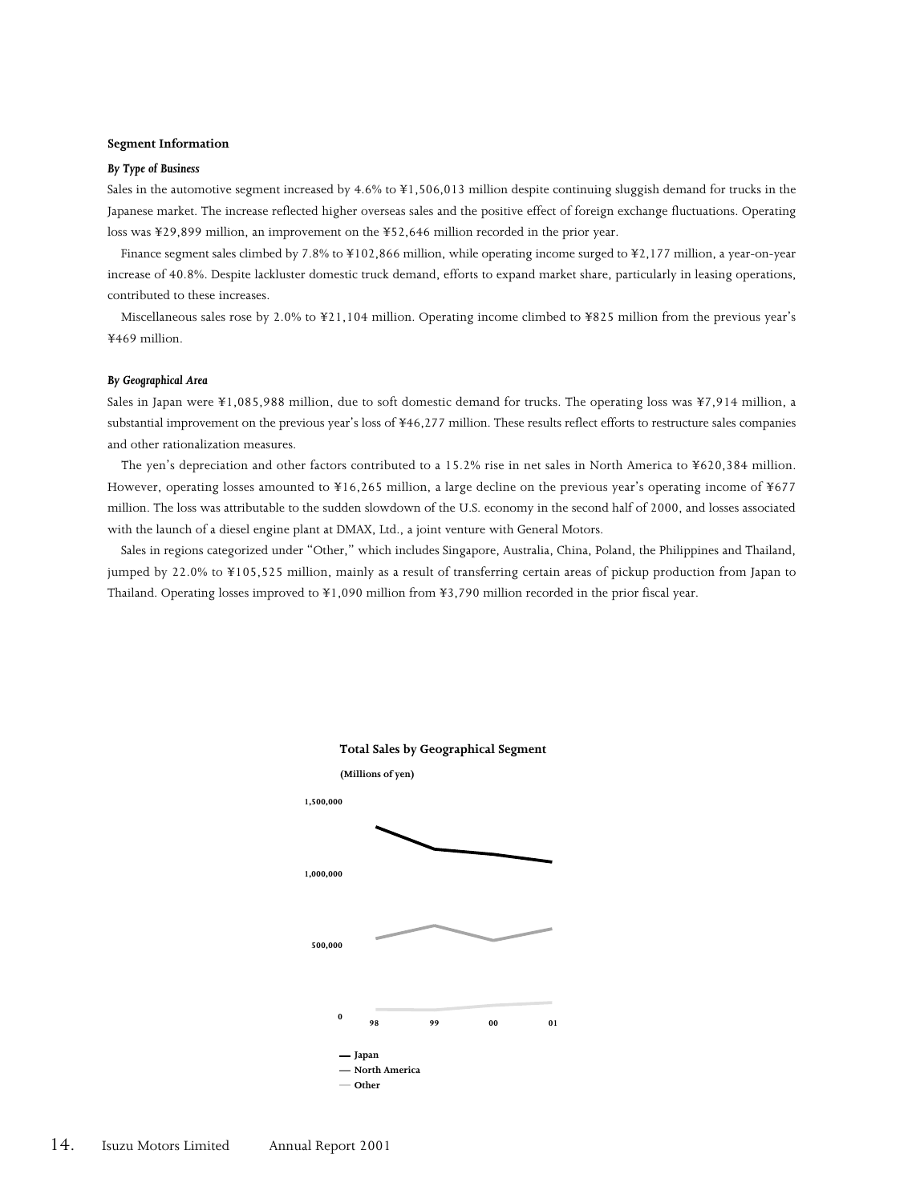#### **Segment Information**

#### *By Type of Business*

Sales in the automotive segment increased by 4.6% to ¥1,506,013 million despite continuing sluggish demand for trucks in the Japanese market. The increase reflected higher overseas sales and the positive effect of foreign exchange fluctuations. Operating loss was ¥29,899 million, an improvement on the ¥52,646 million recorded in the prior year.

Finance segment sales climbed by 7.8% to ¥102,866 million, while operating income surged to ¥2,177 million, a year-on-year increase of 40.8%. Despite lackluster domestic truck demand, efforts to expand market share, particularly in leasing operations, contributed to these increases.

Miscellaneous sales rose by 2.0% to ¥21,104 million. Operating income climbed to ¥825 million from the previous year's ¥469 million.

#### *By Geographical Area*

Sales in Japan were ¥1,085,988 million, due to soft domestic demand for trucks. The operating loss was ¥7,914 million, a substantial improvement on the previous year's loss of ¥46,277 million. These results reflect efforts to restructure sales companies and other rationalization measures.

The yen's depreciation and other factors contributed to a 15.2% rise in net sales in North America to ¥620,384 million. However, operating losses amounted to ¥16,265 million, a large decline on the previous year's operating income of ¥677 million. The loss was attributable to the sudden slowdown of the U.S. economy in the second half of 2000, and losses associated with the launch of a diesel engine plant at DMAX, Ltd., a joint venture with General Motors.

Sales in regions categorized under "Other," which includes Singapore, Australia, China, Poland, the Philippines and Thailand, jumped by 22.0% to ¥105,525 million, mainly as a result of transferring certain areas of pickup production from Japan to Thailand. Operating losses improved to ¥1,090 million from ¥3,790 million recorded in the prior fiscal year.

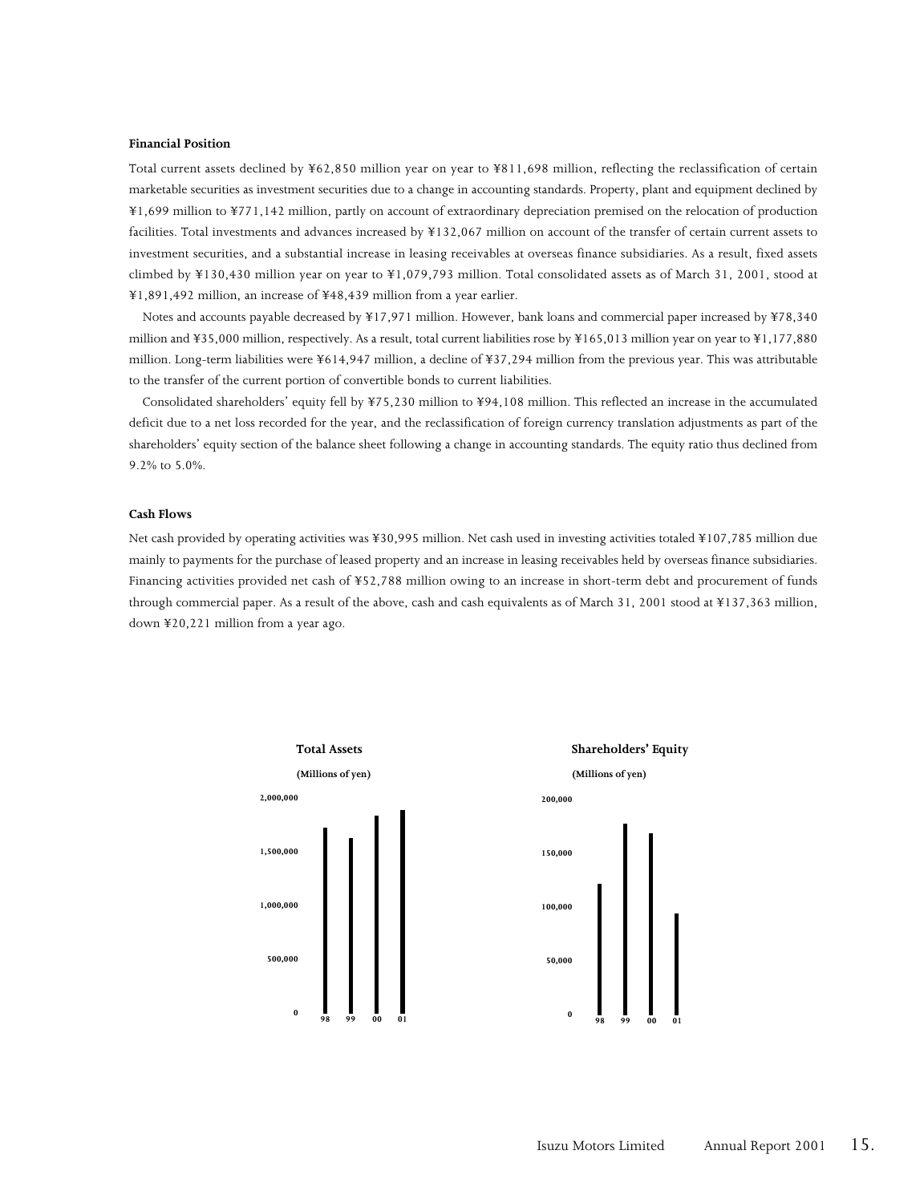#### **Financial Position**

Total current assets declined by ¥62,850 million year on year to ¥811,698 million, reflecting the reclassification of certain marketable securities as investment securities due to a change in accounting standards. Property, plant and equipment declined by ¥1,699 million to ¥771,142 million, partly on account of extraordinary depreciation premised on the relocation of production facilities. Total investments and advances increased by ¥132,067 million on account of the transfer of certain current assets to investment securities, and a substantial increase in leasing receivables at overseas finance subsidiaries. As a result, fixed assets climbed by ¥130,430 million year on year to ¥1,079,793 million. Total consolidated assets as of March 31, 2001, stood at ¥1,891,492 million, an increase of ¥48,439 million from a year earlier.

Notes and accounts payable decreased by ¥17,971 million. However, bank loans and commercial paper increased by ¥78,340 million and ¥35,000 million, respectively. As a result, total current liabilities rose by ¥165,013 million year on year to ¥1,177,880 million. Long-term liabilities were ¥614,947 million, a decline of ¥37,294 million from the previous year. This was attributable to the transfer of the current portion of convertible bonds to current liabilities.

Consolidated shareholders' equity fell by ¥75,230 million to ¥94,108 million. This reflected an increase in the accumulated deficit due to a net loss recorded for the year, and the reclassification of foreign currency translation adjustments as part of the shareholders' equity section of the balance sheet following a change in accounting standards. The equity ratio thus declined from 9.2% to 5.0%.

#### **Cash Flows**

Net cash provided by operating activities was ¥30,995 million. Net cash used in investing activities totaled ¥107,785 million due mainly to payments for the purchase of leased property and an increase in leasing receivables held by overseas finance subsidiaries. Financing activities provided net cash of ¥52,788 million owing to an increase in short-term debt and procurement of funds through commercial paper. As a result of the above, cash and cash equivalents as of March 31, 2001 stood at ¥137,363 million, down ¥20,221 million from a year ago.



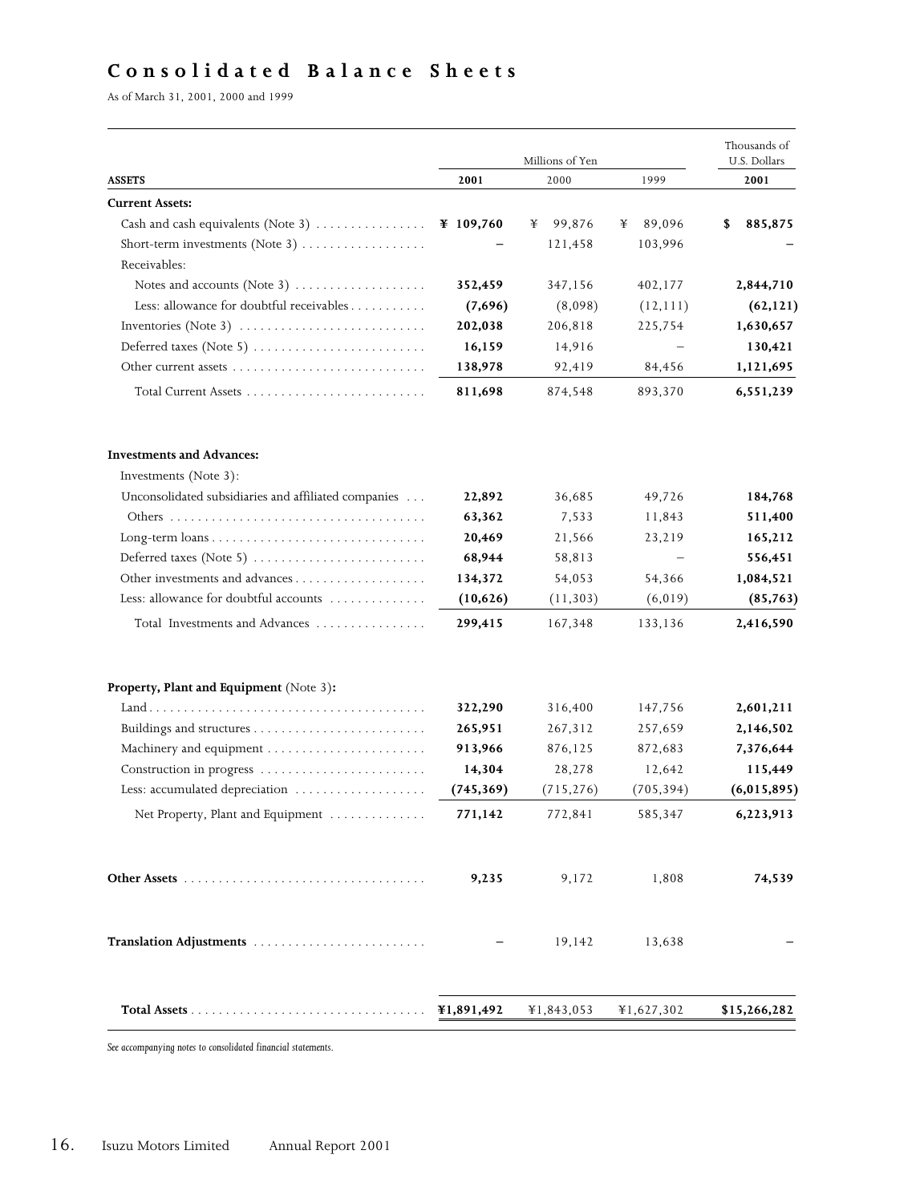## **Consolidated Balance Sheets**

As of March 31, 2001, 2000 and 1999

|                                                                                            |            | Millions of Yen |             | Thousands of<br>U.S. Dollars |
|--------------------------------------------------------------------------------------------|------------|-----------------|-------------|------------------------------|
| <b>ASSETS</b>                                                                              | 2001       | 2000            | 1999        | 2001                         |
| <b>Current Assets:</b>                                                                     |            |                 |             |                              |
| Cash and cash equivalents (Note 3)                                                         | ¥ 109,760  | 99,876<br>¥     | 89,096<br>¥ | 885,875<br>\$                |
| Short-term investments (Note 3)                                                            |            | 121,458         | 103,996     |                              |
| Receivables:                                                                               |            |                 |             |                              |
| Notes and accounts (Note 3) $\dots\dots\dots\dots\dots\dots$                               | 352,459    | 347,156         | 402,177     | 2,844,710                    |
| Less: allowance for doubtful receivables                                                   | (7,696)    | (8,098)         | (12, 111)   | (62, 121)                    |
| Inventories (Note 3) $\dots \dots \dots \dots \dots \dots \dots \dots \dots$               | 202,038    | 206,818         | 225,754     | 1,630,657                    |
| Deferred taxes (Note 5) $\dots \dots \dots \dots \dots \dots \dots \dots$                  | 16,159     | 14,916          |             | 130,421                      |
|                                                                                            | 138,978    | 92,419          | 84,456      | 1,121,695                    |
|                                                                                            | 811,698    | 874,548         | 893,370     | 6,551,239                    |
| <b>Investments and Advances:</b>                                                           |            |                 |             |                              |
| Investments (Note 3):                                                                      |            |                 |             |                              |
| Unconsolidated subsidiaries and affiliated companies                                       | 22,892     | 36,685          | 49,726      | 184,768                      |
|                                                                                            | 63,362     | 7,533           | 11,843      | 511,400                      |
| Long-term $\text{loans} \dots \dots \dots \dots \dots \dots \dots \dots \dots \dots \dots$ | 20,469     | 21,566          | 23,219      | 165,212                      |
| Deferred taxes (Note 5) $\dots \dots \dots \dots \dots \dots \dots \dots$                  | 68,944     | 58,813          |             | 556,451                      |
|                                                                                            | 134,372    | 54,053          | 54,366      | 1,084,521                    |
| Less: allowance for doubtful accounts                                                      | (10,626)   | (11, 303)       | (6, 019)    | (85, 763)                    |
| Total Investments and Advances                                                             | 299,415    | 167,348         | 133,136     | 2,416,590                    |
| Property, Plant and Equipment (Note 3):                                                    |            |                 |             |                              |
|                                                                                            | 322,290    | 316,400         | 147,756     | 2,601,211                    |
|                                                                                            | 265,951    | 267,312         | 257,659     | 2,146,502                    |
|                                                                                            | 913,966    | 876,125         | 872,683     | 7,376,644                    |
| Construction in progress                                                                   | 14,304     | 28,278          | 12,642      | 115,449                      |
| Less: accumulated depreciation                                                             | (745, 369) | (715, 276)      | (705, 394)  | (6,015,895)                  |
| Net Property, Plant and Equipment                                                          | 771,142    | 772,841         | 585,347     | 6,223,913                    |
|                                                                                            | 9,235      | 9,172           | 1,808       | 74,539                       |
| Translation Adjustments                                                                    |            | 19,142          | 13,638      |                              |
|                                                                                            | ¥1,891,492 | ¥1,843,053      | ¥1,627,302  | \$15,266,282                 |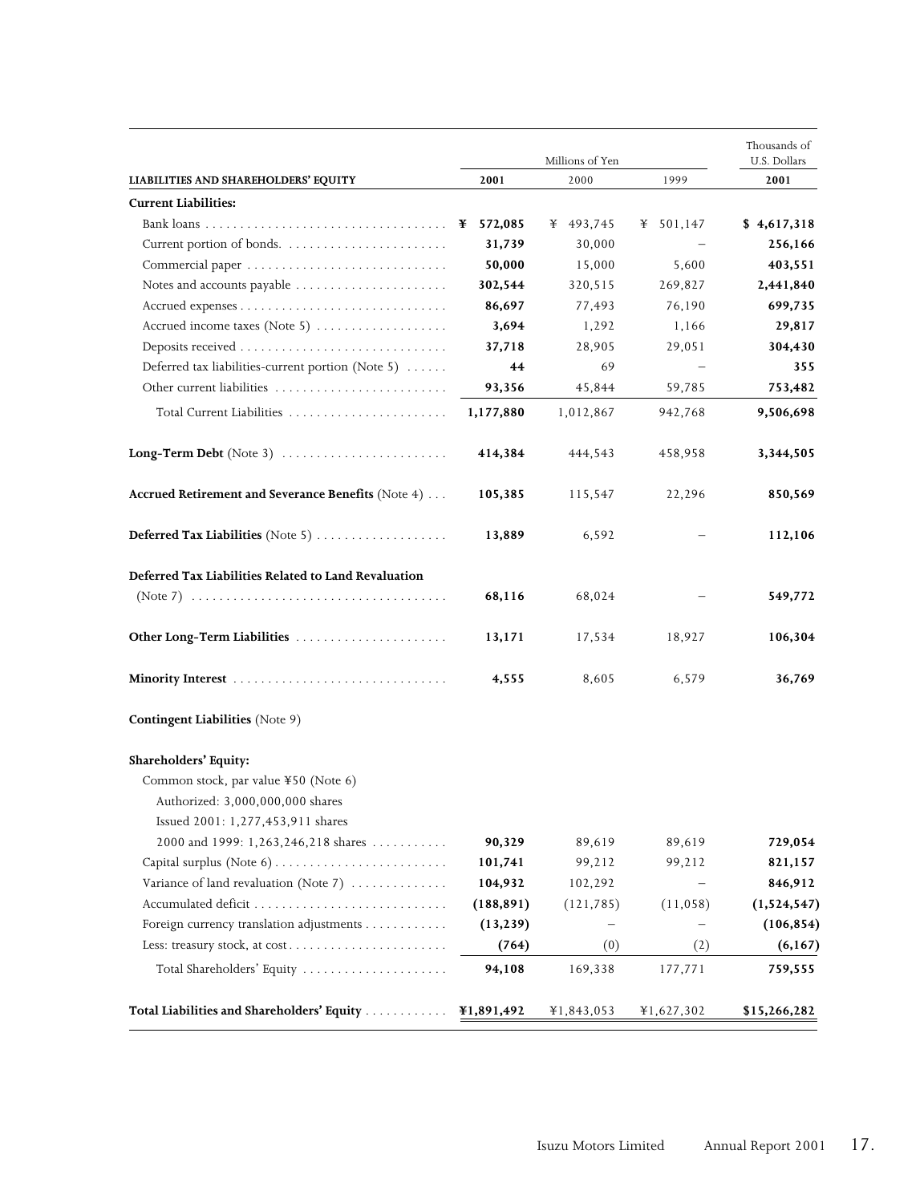|                                                                                                               |            |            | Millions of Yen |              | Thousands of<br>U.S. Dollars |
|---------------------------------------------------------------------------------------------------------------|------------|------------|-----------------|--------------|------------------------------|
| LIABILITIES AND SHAREHOLDERS' EQUITY                                                                          | 2001       |            | 2000            | 1999         | 2001                         |
| <b>Current Liabilities:</b>                                                                                   |            |            |                 |              |                              |
|                                                                                                               | ¥ 572,085  |            | ¥ 493,745       | 501,147<br>¥ | \$4,617,318                  |
|                                                                                                               |            | 31,739     | 30,000          |              | 256,166                      |
|                                                                                                               |            | 50,000     | 15,000          | 5,600        | 403,551                      |
| Notes and accounts payable                                                                                    |            | 302,544    | 320,515         | 269,827      | 2,441,840                    |
|                                                                                                               |            | 86,697     | 77,493          | 76,190       | 699,735                      |
| Accrued income taxes (Note 5)                                                                                 |            | 3,694      | 1,292           | 1,166        | 29,817                       |
|                                                                                                               |            | 37,718     | 28,905          | 29,051       | 304,430                      |
| Deferred tax liabilities-current portion (Note 5)                                                             |            | 44         | 69              |              | 355                          |
|                                                                                                               |            | 93,356     | 45,844          | 59,785       | 753,482                      |
| Total Current Liabilities                                                                                     | 1,177,880  |            | 1,012,867       | 942,768      | 9,506,698                    |
|                                                                                                               |            | 414,384    | 444,543         | 458,958      | 3,344,505                    |
| Accrued Retirement and Severance Benefits (Note 4)                                                            |            | 105,385    | 115,547         | 22,296       | 850,569                      |
| <b>Deferred Tax Liabilities</b> (Note 5) $\ldots$                                                             |            | 13,889     | 6,592           |              | 112,106                      |
| Deferred Tax Liabilities Related to Land Revaluation                                                          |            |            |                 |              |                              |
|                                                                                                               |            | 68,116     | 68,024          |              | 549,772                      |
|                                                                                                               |            | 13,171     | 17,534          | 18,927       | 106,304                      |
|                                                                                                               |            | 4,555      | 8,605           | 6,579        | 36,769                       |
| <b>Contingent Liabilities</b> (Note 9)                                                                        |            |            |                 |              |                              |
| Shareholders' Equity:                                                                                         |            |            |                 |              |                              |
| Common stock, par value ¥50 (Note 6)<br>Authorized: 3,000,000,000 shares<br>Issued 2001: 1,277,453,911 shares |            |            |                 |              |                              |
| 2000 and 1999: 1,263,246,218 shares                                                                           |            | 90,329     | 89,619          | 89,619       | 729,054                      |
|                                                                                                               |            | 101,741    | 99,212          | 99,212       | 821,157                      |
| Variance of land revaluation (Note 7)                                                                         |            | 104,932    | 102,292         |              | 846,912                      |
|                                                                                                               |            | (188, 891) | (121, 785)      | (11, 058)    | (1,524,547)                  |
| Foreign currency translation adjustments                                                                      |            | (13, 239)  |                 |              | (106, 854)                   |
|                                                                                                               |            | (764)      | (0)             | (2)          | (6, 167)                     |
| Total Shareholders' Equity                                                                                    |            | 94,108     | 169,338         | 177,771      | 759,555                      |
| Total Liabilities and Shareholders' Equity                                                                    | ¥1,891,492 |            | ¥1,843,053      | ¥1,627,302   | \$15,266,282                 |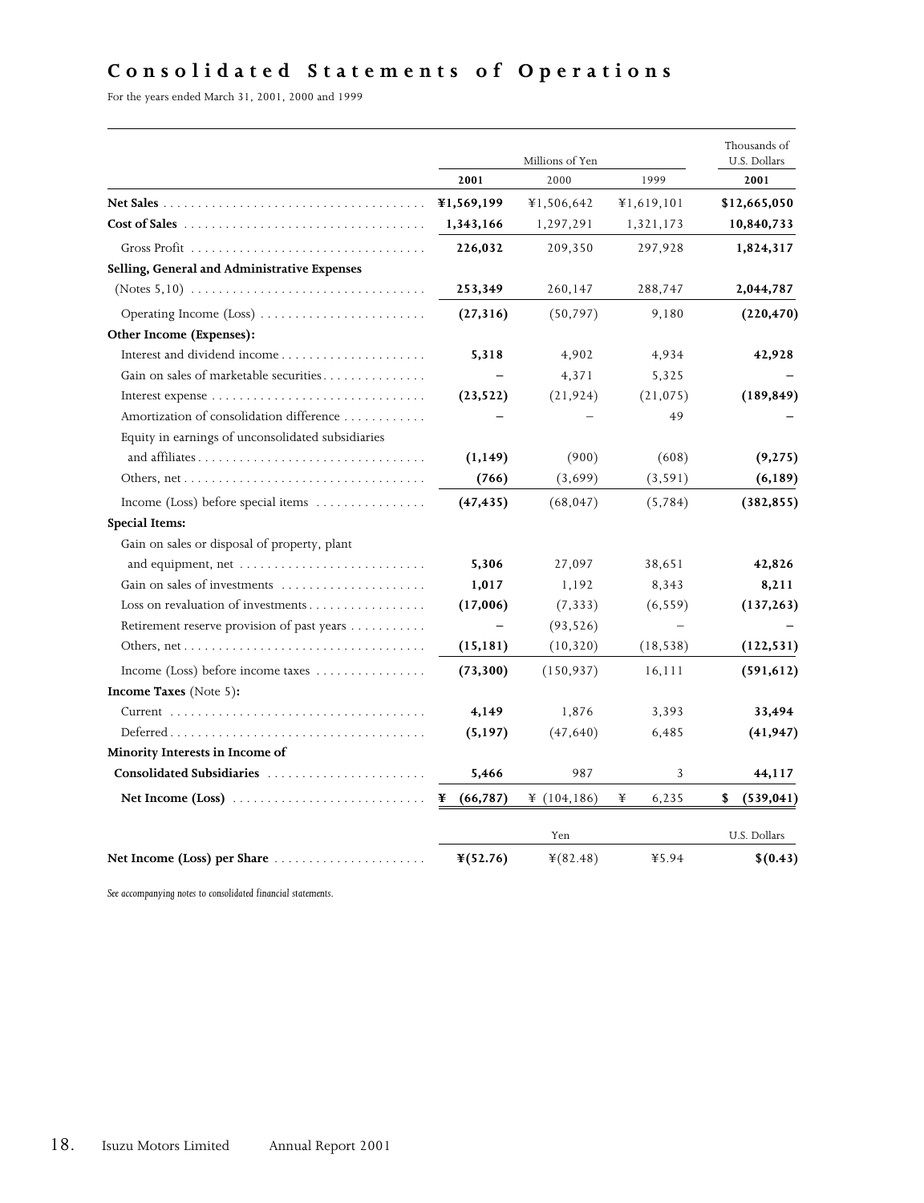## **Consolidated Statements of Operations**

For the years ended March 31, 2001, 2000 and 1999

|                                                                                               |                      | Millions of Yen |            | Thousands of<br>U.S. Dollars |
|-----------------------------------------------------------------------------------------------|----------------------|-----------------|------------|------------------------------|
|                                                                                               | 2001                 | 2000            | 1999       | 2001                         |
|                                                                                               | ¥1,569,199           | ¥1,506,642      | ¥1,619,101 | \$12,665,050                 |
| $Cost of Sales \dots \dots \dots \dots \dots \dots \dots \dots \dots \dots \dots \dots \dots$ | 1,343,166            | 1,297,291       | 1,321,173  | 10,840,733                   |
| Gross Profit                                                                                  | 226,032              | 209,350         | 297,928    | 1,824,317                    |
| Selling, General and Administrative Expenses                                                  |                      |                 |            |                              |
|                                                                                               | 253,349              | 260,147         | 288,747    | 2,044,787                    |
| Operating Income (Loss)                                                                       | (27, 316)            | (50, 797)       | 9,180      | (220, 470)                   |
| Other Income (Expenses):                                                                      |                      |                 |            |                              |
|                                                                                               | 5,318                | 4,902           | 4,934      | 42,928                       |
| Gain on sales of marketable securities                                                        |                      | 4,371           | 5,325      |                              |
|                                                                                               | (23,522)             | (21, 924)       | (21, 075)  | (189, 849)                   |
| Amortization of consolidation difference                                                      |                      |                 | 49         |                              |
| Equity in earnings of unconsolidated subsidiaries                                             |                      |                 |            |                              |
| and affiliates                                                                                | (1, 149)             | (900)           | (608)      | (9, 275)                     |
|                                                                                               | (766)                | (3,699)         | (3, 591)   | (6, 189)                     |
| Income (Loss) before special items                                                            | (47, 435)            | (68, 047)       | (5,784)    | (382, 855)                   |
| <b>Special Items:</b>                                                                         |                      |                 |            |                              |
| Gain on sales or disposal of property, plant                                                  |                      |                 |            |                              |
| and equipment, net $\dots\dots\dots\dots\dots\dots\dots\dots\dots\dots\dots$                  | 5,306                | 27,097          | 38,651     | 42,826                       |
| Gain on sales of investments                                                                  | 1,017                | 1,192           | 8,343      | 8,211                        |
| Loss on revaluation of investments                                                            | (17,006)             | (7, 333)        | (6, 559)   | (137, 263)                   |
| Retirement reserve provision of past years                                                    |                      | (93, 526)       |            |                              |
|                                                                                               | (15, 181)            | (10, 320)       | (18, 538)  | (122, 531)                   |
| Income (Loss) before income taxes $\dots\dots\dots\dots\dots$                                 | (73, 300)            | (150, 937)      | 16,111     | (591, 612)                   |
| <b>Income Taxes</b> (Note 5):                                                                 |                      |                 |            |                              |
|                                                                                               | 4,149                | 1,876           | 3,393      | 33,494                       |
|                                                                                               | (5, 197)             | (47,640)        | 6,485      | (41, 947)                    |
| Minority Interests in Income of                                                               |                      |                 |            |                              |
| Consolidated Subsidiaries                                                                     | 5,466                | 987             | 3          | 44,117                       |
|                                                                                               | (66, 787)<br>¥       | ¥ $(104, 186)$  | ¥<br>6,235 | \$<br>(539, 041)             |
|                                                                                               |                      | Yen             |            | U.S. Dollars                 |
| Net Income (Loss) per Share $\dots \dots \dots \dots \dots \dots \dots$                       | $\frac{1}{2}(52.76)$ | $*(82.48)$      | ¥5.94      | \$(0.43)                     |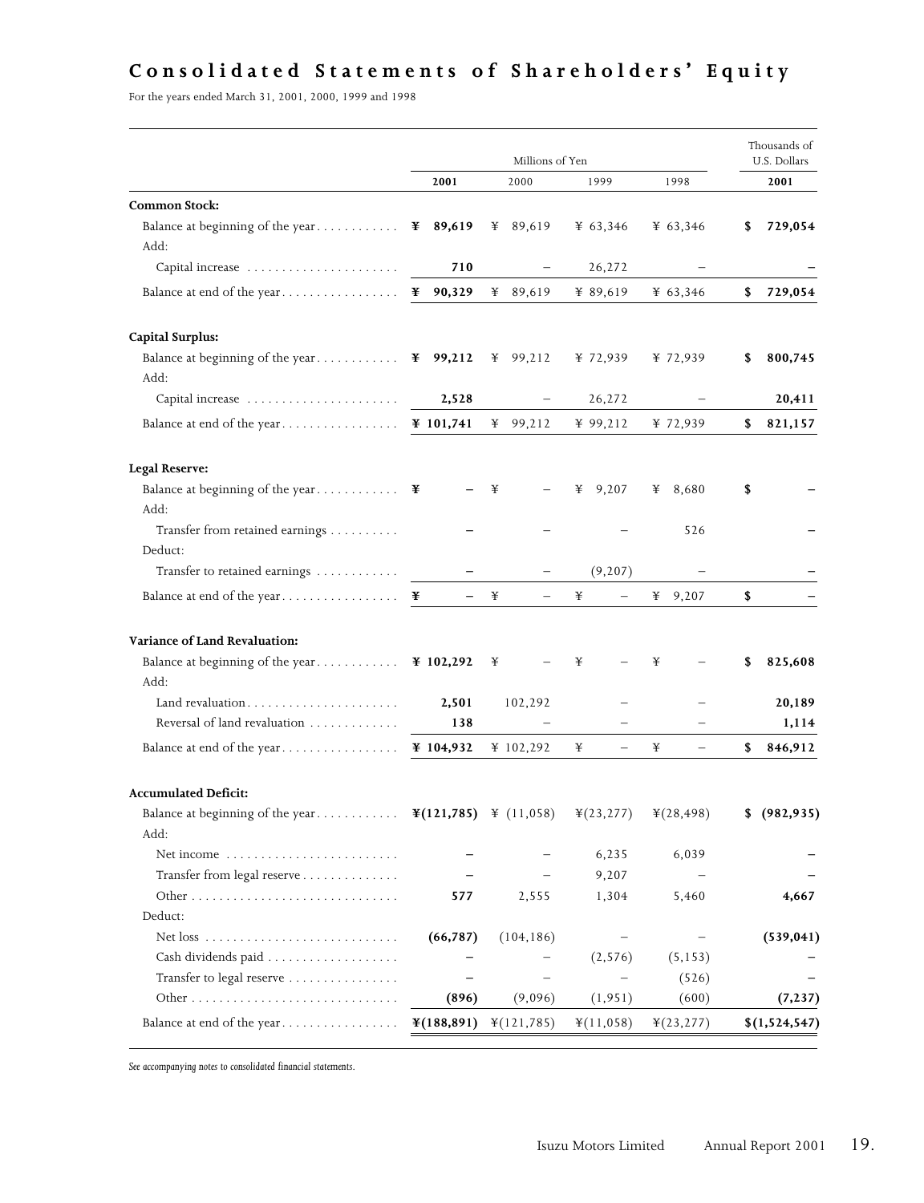## **Consolidated Statements of Shareholders ' Equity**

For the years ended March 31, 2001, 2000, 1999 and 1998

|                                                                             |               | Millions of Yen |                               |                        | Thousands of<br>U.S. Dollars |
|-----------------------------------------------------------------------------|---------------|-----------------|-------------------------------|------------------------|------------------------------|
|                                                                             | 2001          | 2000            | 1999                          | 1998                   | 2001                         |
| <b>Common Stock:</b>                                                        |               |                 |                               |                        |                              |
| Balance at beginning of the year<br>Add:                                    | 89,619<br>¥   | 89,619<br>¥     | ¥ 63,346                      | ¥ 63,346               | 729,054<br>\$                |
|                                                                             | 710           |                 | 26,272                        |                        |                              |
| Balance at end of the year                                                  | ¥ 90,329      | ¥ 89,619        | ¥ 89,619                      | ¥ $63,346$             | 729,054<br>\$                |
| <b>Capital Surplus:</b>                                                     |               |                 |                               |                        |                              |
| Balance at beginning of the year<br>Add:                                    | ¥ 99,212      | ¥ 99,212        | ¥ 72,939                      | ¥ 72,939               | 800,745<br>\$                |
| Capital increase                                                            | 2,528         |                 | 26,272                        |                        | 20,411                       |
| Balance at end of the year                                                  | ¥ 101,741     | 99,212<br>¥     | ¥ 99,212                      | ¥ 72,939               | \$<br>821,157                |
| <b>Legal Reserve:</b>                                                       |               |                 |                               |                        |                              |
| Balance at beginning of the year<br>Add:                                    | ¥             | ¥               | 9,207<br>¥                    | 8,680<br>¥             | \$                           |
| Transfer from retained earnings<br>Deduct:                                  |               |                 |                               | 526                    |                              |
| Transfer to retained earnings                                               |               |                 | (9, 207)                      |                        |                              |
| Balance at end of the year                                                  | ¥             | ¥               | ¥<br>$\qquad \qquad -$        | ¥<br>9,207             | \$                           |
| Variance of Land Revaluation:                                               |               |                 |                               |                        |                              |
| Balance at beginning of the year<br>Add:                                    | ¥ 102,292     | ¥               | ¥                             | ¥                      | 825,608<br>35                |
|                                                                             | 2,501         | 102,292         |                               |                        | 20,189                       |
| Reversal of land revaluation                                                | 138           |                 |                               |                        | 1,114                        |
|                                                                             | ¥ $104,932$   | ¥ 102,292       | ¥<br>$\overline{\phantom{0}}$ | ¥<br>$\qquad \qquad -$ | 846,912<br>\$                |
| <b>Accumulated Deficit:</b>                                                 |               |                 |                               |                        |                              |
| Balance at beginning of the year $\mathbb{1}(121,785)$ \le (11,058)<br>Add: |               |                 | ¥(23,277)                     | ¥(28,498)              | \$<br>(982, 935)             |
| Net income                                                                  |               |                 | 6,235                         | 6,039                  |                              |
| Transfer from legal reserve                                                 |               |                 | 9,207                         |                        |                              |
|                                                                             | 577           | 2,555           | 1,304                         | 5,460                  | 4,667                        |
| Deduct:                                                                     |               |                 |                               |                        |                              |
| Net $\cos \ldots \ldots \ldots \ldots \ldots \ldots \ldots \ldots$          | (66, 787)     | (104, 186)      |                               |                        | (539, 041)                   |
|                                                                             |               |                 | (2, 576)                      | (5, 153)               |                              |
| Transfer to legal reserve                                                   |               |                 |                               | (526)                  |                              |
|                                                                             | (896)         | (9,096)         | (1, 951)                      | (600)                  | (7, 237)                     |
| Balance at end of the year                                                  | $*(188, 891)$ | ¥(121,785)      | $\text{\yen}(11,058)$         | $*(23, 277)$           | \$(1,524,547)                |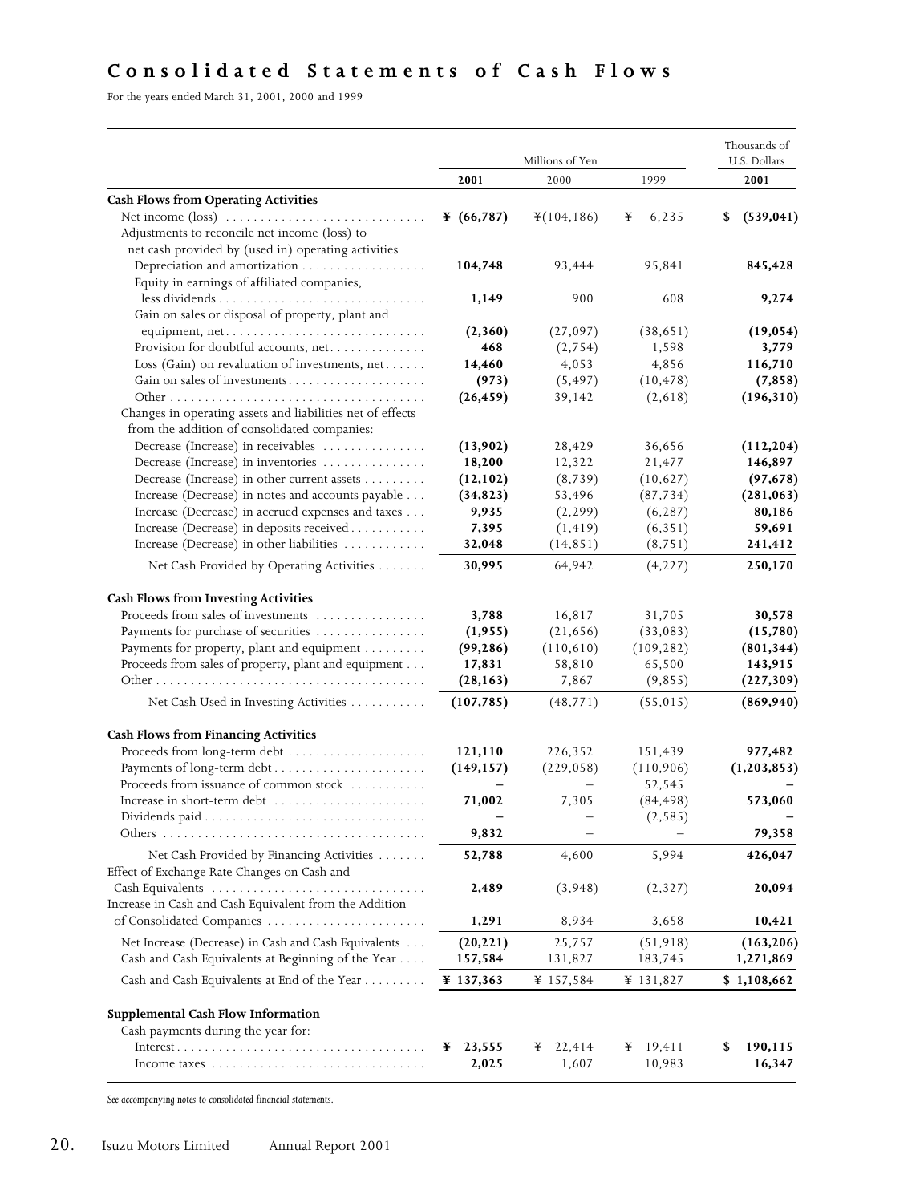## **Consolidated Statements of Cash Flows**

For the years ended March 31, 2001, 2000 and 1999

|                                                                                                                                            | Millions of Yen      |                      |             | Thousands of<br>U.S. Dollars |  |
|--------------------------------------------------------------------------------------------------------------------------------------------|----------------------|----------------------|-------------|------------------------------|--|
|                                                                                                                                            | 2001                 | 2000                 | 1999        | 2001                         |  |
| <b>Cash Flows from Operating Activities</b>                                                                                                |                      |                      |             |                              |  |
|                                                                                                                                            | ¥ $(66,787)$         | ¥(104,186)           | 6,235<br>¥  | (539, 041)<br>\$             |  |
| Adjustments to reconcile net income (loss) to                                                                                              |                      |                      |             |                              |  |
| net cash provided by (used in) operating activities                                                                                        |                      |                      |             |                              |  |
| Depreciation and amortization                                                                                                              | 104,748              | 93,444               | 95,841      | 845,428                      |  |
| Equity in earnings of affiliated companies,                                                                                                |                      |                      |             |                              |  |
|                                                                                                                                            | 1,149                | 900                  | 608         | 9,274                        |  |
| Gain on sales or disposal of property, plant and                                                                                           |                      |                      |             |                              |  |
| equipment, net                                                                                                                             | (2,360)              | (27,097)             | (38, 651)   | (19, 054)                    |  |
| Provision for doubtful accounts, net                                                                                                       | 468                  | (2,754)              | 1,598       | 3,779                        |  |
| Loss (Gain) on revaluation of investments, $net \ldots \ldots$                                                                             | 14,460               | 4,053                | 4,856       | 116,710                      |  |
| Gain on sales of investments                                                                                                               | (973)                | (5, 497)             | (10, 478)   | (7, 858)                     |  |
|                                                                                                                                            | (26, 459)            | 39,142               | (2,618)     | (196, 310)                   |  |
| Changes in operating assets and liabilities net of effects                                                                                 |                      |                      |             |                              |  |
| from the addition of consolidated companies:                                                                                               |                      |                      |             |                              |  |
| Decrease (Increase) in receivables                                                                                                         | (13,902)             | 28,429               | 36,656      | (112, 204)                   |  |
| Decrease (Increase) in inventories                                                                                                         | 18,200               | 12,322               | 21,477      | 146,897                      |  |
| Decrease (Increase) in other current assets                                                                                                | (12, 102)            | (8, 739)             | (10,627)    | (97, 678)                    |  |
| Increase (Decrease) in notes and accounts payable                                                                                          | (34, 823)            | 53,496               | (87, 734)   | (281,063)                    |  |
| Increase (Decrease) in accrued expenses and taxes                                                                                          | 9,935                | (2, 299)             | (6, 287)    | 80,186                       |  |
| Increase (Decrease) in deposits received                                                                                                   | 7,395                | (1, 419)             | (6, 351)    | 59,691                       |  |
| Increase (Decrease) in other liabilities                                                                                                   | 32,048               | (14, 851)            | (8, 751)    | 241,412                      |  |
| Net Cash Provided by Operating Activities                                                                                                  | 30,995               | 64,942               | (4, 227)    | 250,170                      |  |
| <b>Cash Flows from Investing Activities</b>                                                                                                |                      |                      |             |                              |  |
| Proceeds from sales of investments                                                                                                         | 3,788                | 16,817               | 31,705      | 30,578                       |  |
| Payments for purchase of securities                                                                                                        | (1,955)              | (21, 656)            | (33,083)    | (15,780)                     |  |
| Payments for property, plant and equipment                                                                                                 | (99, 286)            | (110, 610)           | (109, 282)  | (801, 344)                   |  |
| Proceeds from sales of property, plant and equipment                                                                                       | 17,831               | 58,810               | 65,500      | 143,915                      |  |
|                                                                                                                                            | (28, 163)            | 7,867                | (9, 855)    | (227, 309)                   |  |
| Net Cash Used in Investing Activities                                                                                                      | (107, 785)           | (48, 771)            | (55, 015)   | (869, 940)                   |  |
|                                                                                                                                            |                      |                      |             |                              |  |
| <b>Cash Flows from Financing Activities</b>                                                                                                |                      |                      |             |                              |  |
|                                                                                                                                            | 121,110              | 226,352              | 151,439     | 977,482                      |  |
|                                                                                                                                            | (149, 157)           | (229, 058)           | (110, 906)  | (1, 203, 853)                |  |
| Proceeds from issuance of common stock                                                                                                     |                      |                      | 52,545      |                              |  |
| Increase in short-term debt                                                                                                                | 71,002               | 7,305                | (84, 498)   | 573,060                      |  |
|                                                                                                                                            |                      |                      | (2, 585)    | 79,358                       |  |
| Others.                                                                                                                                    | 9,832                |                      |             |                              |  |
| Net Cash Provided by Financing Activities<br>Effect of Exchange Rate Changes on Cash and                                                   | 52,788               | 4,600                | 5,994       | 426,047                      |  |
|                                                                                                                                            | 2,489                | (3,948)              | (2,327)     | 20,094                       |  |
| Increase in Cash and Cash Equivalent from the Addition                                                                                     |                      |                      |             |                              |  |
| of Consolidated Companies                                                                                                                  | 1,291                | 8,934                | 3,658       | 10,421                       |  |
| Net Increase (Decrease) in Cash and Cash Equivalents                                                                                       | (20, 221)            | 25,757               | (51, 918)   | (163, 206)                   |  |
| Cash and Cash Equivalents at Beginning of the Year                                                                                         | 157,584              | 131,827              | 183,745     | 1,271,869                    |  |
| Cash and Cash Equivalents at End of the Year                                                                                               | $\text{\#}$ 137,363  | ¥ 157,584            | ¥ 131,827   | \$1,108,662                  |  |
|                                                                                                                                            |                      |                      |             |                              |  |
| <b>Supplemental Cash Flow Information</b>                                                                                                  |                      |                      |             |                              |  |
| Cash payments during the year for:<br>$Interest \dots \dots \dots \dots \dots \dots \dots \dots \dots \dots \dots \dots \dots \dots \dots$ |                      |                      | 19,411<br>¥ |                              |  |
|                                                                                                                                            | 23,555<br>¥<br>2,025 | 22,414<br>¥<br>1,607 | 10,983      | 190,115<br>\$<br>16,347      |  |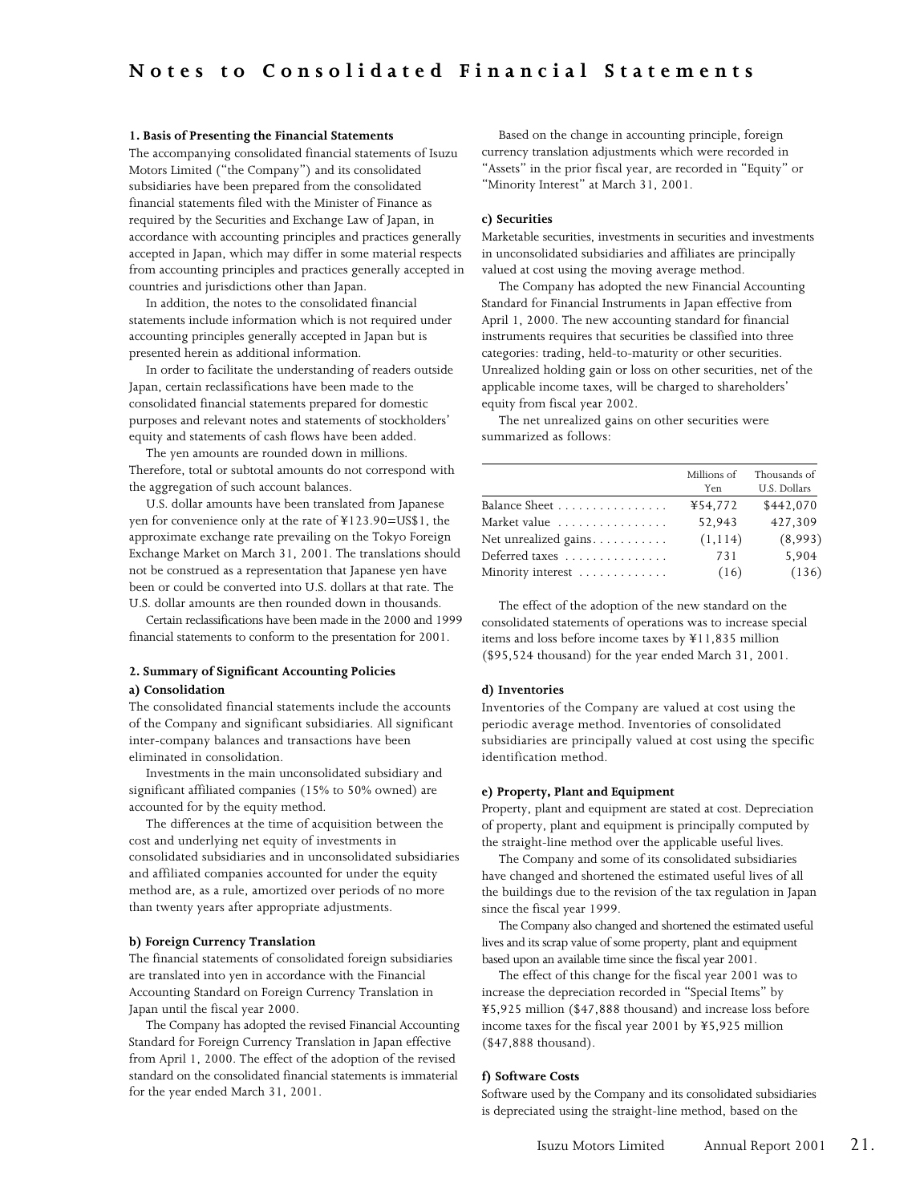#### **1. Basis of Presenting the Financial Statements**

The accompanying consolidated financial statements of Isuzu Motors Limited ("the Company") and its consolidated subsidiaries have been prepared from the consolidated financial statements filed with the Minister of Finance as required by the Securities and Exchange Law of Japan, in accordance with accounting principles and practices generally accepted in Japan, which may differ in some material respects from accounting principles and practices generally accepted in countries and jurisdictions other than Japan.

In addition, the notes to the consolidated financial statements include information which is not required under accounting principles generally accepted in Japan but is presented herein as additional information.

In order to facilitate the understanding of readers outside Japan, certain reclassifications have been made to the consolidated financial statements prepared for domestic purposes and relevant notes and statements of stockholders' equity and statements of cash flows have been added.

The yen amounts are rounded down in millions. Therefore, total or subtotal amounts do not correspond with the aggregation of such account balances.

U.S. dollar amounts have been translated from Japanese yen for convenience only at the rate of ¥123.90=US\$1, the approximate exchange rate prevailing on the Tokyo Foreign Exchange Market on March 31, 2001. The translations should not be construed as a representation that Japanese yen have been or could be converted into U.S. dollars at that rate. The U.S. dollar amounts are then rounded down in thousands.

Certain reclassifications have been made in the 2000 and 1999 financial statements to conform to the presentation for 2001.

#### **2. Summary of Significant Accounting Policies**

#### **a) Consolidation**

The consolidated financial statements include the accounts of the Company and significant subsidiaries. All significant inter-company balances and transactions have been eliminated in consolidation.

Investments in the main unconsolidated subsidiary and significant affiliated companies (15% to 50% owned) are accounted for by the equity method.

The differences at the time of acquisition between the cost and underlying net equity of investments in consolidated subsidiaries and in unconsolidated subsidiaries and affiliated companies accounted for under the equity method are, as a rule, amortized over periods of no more than twenty years after appropriate adjustments.

#### **b) Foreign Currency Translation**

The financial statements of consolidated foreign subsidiaries are translated into yen in accordance with the Financial Accounting Standard on Foreign Currency Translation in Japan until the fiscal year 2000.

The Company has adopted the revised Financial Accounting Standard for Foreign Currency Translation in Japan effective from April 1, 2000. The effect of the adoption of the revised standard on the consolidated financial statements is immaterial for the year ended March 31, 2001.

Based on the change in accounting principle, foreign currency translation adjustments which were recorded in "Assets" in the prior fiscal year, are recorded in "Equity" or "Minority Interest" at March 31, 2001.

#### **c) Securities**

Marketable securities, investments in securities and investments in unconsolidated subsidiaries and affiliates are principally valued at cost using the moving average method.

The Company has adopted the new Financial Accounting Standard for Financial Instruments in Japan effective from April 1, 2000. The new accounting standard for financial instruments requires that securities be classified into three categories: trading, held-to-maturity or other securities. Unrealized holding gain or loss on other securities, net of the applicable income taxes, will be charged to shareholders' equity from fiscal year 2002.

The net unrealized gains on other securities were summarized as follows:

|                      | Millions of<br>Yen | Thousands of<br>U.S. Dollars |
|----------------------|--------------------|------------------------------|
| Balance Sheet        | ¥54.772            | \$442.070                    |
| Market value         | 52.943             | 427,309                      |
| Net unrealized gains | (1, 114)           | (8,993)                      |
| Deferred taxes       | 731                | 5,904                        |
| Minority interest    | (16)               | (136)                        |

The effect of the adoption of the new standard on the consolidated statements of operations was to increase special items and loss before income taxes by ¥11,835 million (\$95,524 thousand) for the year ended March 31, 2001.

#### **d) Inventories**

Inventories of the Company are valued at cost using the periodic average method. Inventories of consolidated subsidiaries are principally valued at cost using the specific identification method.

#### **e) Property, Plant and Equipment**

Property, plant and equipment are stated at cost. Depreciation of property, plant and equipment is principally computed by the straight-line method over the applicable useful lives.

The Company and some of its consolidated subsidiaries have changed and shortened the estimated useful lives of all the buildings due to the revision of the tax regulation in Japan since the fiscal year 1999.

The Company also changed and shortened the estimated useful lives and its scrap value of some property, plant and equipment based upon an available time since the fiscal year 2001.

The effect of this change for the fiscal year 2001 was to increase the depreciation recorded in "Special Items" by ¥5,925 million (\$47,888 thousand) and increase loss before income taxes for the fiscal year 2001 by ¥5,925 million (\$47,888 thousand).

#### **f) Software Costs**

Software used by the Company and its consolidated subsidiaries is depreciated using the straight-line method, based on the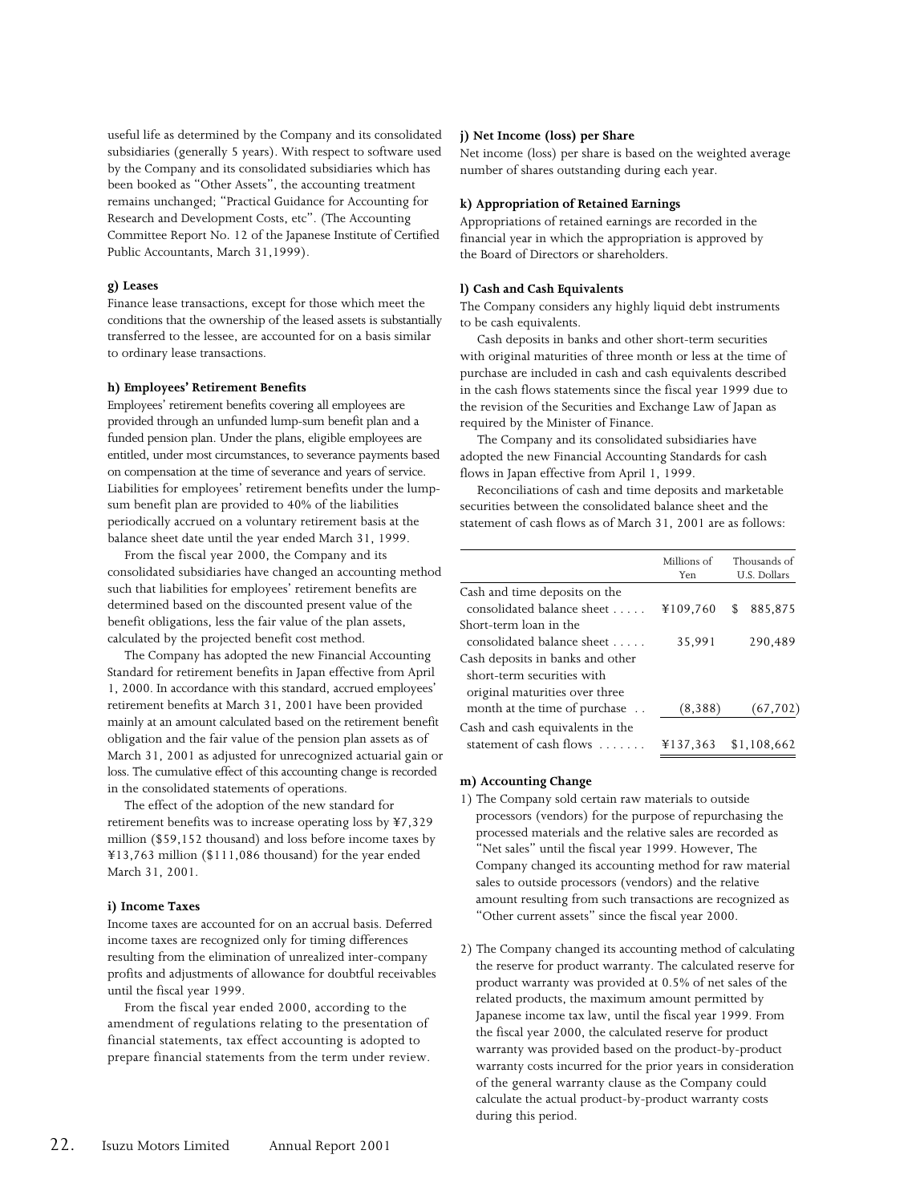useful life as determined by the Company and its consolidated subsidiaries (generally 5 years). With respect to software used by the Company and its consolidated subsidiaries which has been booked as "Other Assets", the accounting treatment remains unchanged; "Practical Guidance for Accounting for Research and Development Costs, etc". (The Accounting Committee Report No. 12 of the Japanese Institute of Certified Public Accountants, March 31,1999).

#### **g) Leases**

Finance lease transactions, except for those which meet the conditions that the ownership of the leased assets is substantially transferred to the lessee, are accounted for on a basis similar to ordinary lease transactions.

#### **h) Employees' Retirement Benefits**

Employees' retirement benefits covering all employees are provided through an unfunded lump-sum benefit plan and a funded pension plan. Under the plans, eligible employees are entitled, under most circumstances, to severance payments based on compensation at the time of severance and years of service. Liabilities for employees' retirement benefits under the lumpsum benefit plan are provided to 40% of the liabilities periodically accrued on a voluntary retirement basis at the balance sheet date until the year ended March 31, 1999.

From the fiscal year 2000, the Company and its consolidated subsidiaries have changed an accounting method such that liabilities for employees' retirement benefits are determined based on the discounted present value of the benefit obligations, less the fair value of the plan assets, calculated by the projected benefit cost method.

The Company has adopted the new Financial Accounting Standard for retirement benefits in Japan effective from April 1, 2000. In accordance with this standard, accrued employees' retirement benefits at March 31, 2001 have been provided mainly at an amount calculated based on the retirement benefit obligation and the fair value of the pension plan assets as of March 31, 2001 as adjusted for unrecognized actuarial gain or loss. The cumulative effect of this accounting change is recorded in the consolidated statements of operations.

The effect of the adoption of the new standard for retirement benefits was to increase operating loss by ¥7,329 million (\$59,152 thousand) and loss before income taxes by ¥13,763 million (\$111,086 thousand) for the year ended March 31, 2001.

#### **i) Income Taxes**

Income taxes are accounted for on an accrual basis. Deferred income taxes are recognized only for timing differences resulting from the elimination of unrealized inter-company profits and adjustments of allowance for doubtful receivables until the fiscal year 1999.

From the fiscal year ended 2000, according to the amendment of regulations relating to the presentation of financial statements, tax effect accounting is adopted to prepare financial statements from the term under review.

#### **j) Net Income (loss) per Share**

Net income (loss) per share is based on the weighted average number of shares outstanding during each year.

#### **k) Appropriation of Retained Earnings**

Appropriations of retained earnings are recorded in the financial year in which the appropriation is approved by the Board of Directors or shareholders.

#### **l) Cash and Cash Equivalents**

The Company considers any highly liquid debt instruments to be cash equivalents.

Cash deposits in banks and other short-term securities with original maturities of three month or less at the time of purchase are included in cash and cash equivalents described in the cash flows statements since the fiscal year 1999 due to the revision of the Securities and Exchange Law of Japan as required by the Minister of Finance.

The Company and its consolidated subsidiaries have adopted the new Financial Accounting Standards for cash flows in Japan effective from April 1, 1999.

Reconciliations of cash and time deposits and marketable securities between the consolidated balance sheet and the statement of cash flows as of March 31, 2001 are as follows:

|                                  | Millions of | Thousands of  |
|----------------------------------|-------------|---------------|
|                                  | Yen         | U.S. Dollars  |
| Cash and time deposits on the    |             |               |
| consolidated balance sheet       | ¥109,760    | 885,875<br>\$ |
| Short-term loan in the           |             |               |
| consolidated balance sheet       | 35,991      | 290,489       |
| Cash deposits in banks and other |             |               |
| short-term securities with       |             |               |
| original maturities over three   |             |               |
| month at the time of purchase    | (8,388)     | (67, 702)     |
| Cash and cash equivalents in the |             |               |
| statement of cash flows          | ¥137.363    | \$1.108.662   |

#### **m) Accounting Change**

- 1) The Company sold certain raw materials to outside processors (vendors) for the purpose of repurchasing the processed materials and the relative sales are recorded as "Net sales" until the fiscal year 1999. However, The Company changed its accounting method for raw material sales to outside processors (vendors) and the relative amount resulting from such transactions are recognized as "Other current assets" since the fiscal year 2000.
- 2) The Company changed its accounting method of calculating the reserve for product warranty. The calculated reserve for product warranty was provided at 0.5% of net sales of the related products, the maximum amount permitted by Japanese income tax law, until the fiscal year 1999. From the fiscal year 2000, the calculated reserve for product warranty was provided based on the product-by-product warranty costs incurred for the prior years in consideration of the general warranty clause as the Company could calculate the actual product-by-product warranty costs during this period.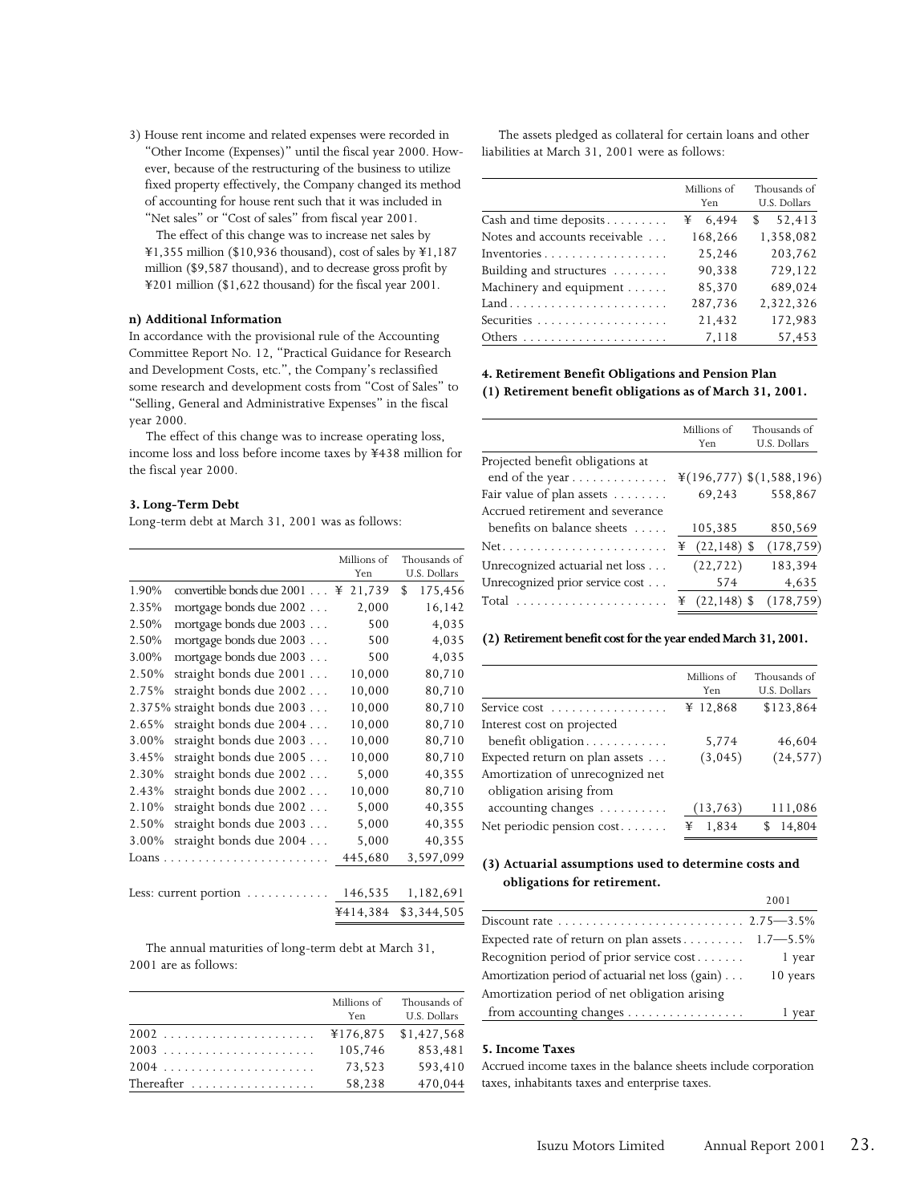3) House rent income and related expenses were recorded in "Other Income (Expenses)" until the fiscal year 2000. However, because of the restructuring of the business to utilize fixed property effectively, the Company changed its method of accounting for house rent such that it was included in "Net sales" or "Cost of sales" from fiscal year 2001.

The effect of this change was to increase net sales by ¥1,355 million (\$10,936 thousand), cost of sales by ¥1,187 million (\$9,587 thousand), and to decrease gross profit by ¥201 million (\$1,622 thousand) for the fiscal year 2001.

#### **n) Additional Information**

In accordance with the provisional rule of the Accounting Committee Report No. 12, "Practical Guidance for Research and Development Costs, etc.", the Company's reclassified some research and development costs from "Cost of Sales" to "Selling, General and Administrative Expenses" in the fiscal year 2000.

The effect of this change was to increase operating loss, income loss and loss before income taxes by ¥438 million for the fiscal year 2000.

#### **3. Long-Term Debt**

Long-term debt at March 31, 2001 was as follows:

|        |                                              | Millions of<br>Yen | Thousands of<br>U.S. Dollars |
|--------|----------------------------------------------|--------------------|------------------------------|
| 1.90%  | convertible bonds due $2001$ $\equiv$        | 21,739             | 175,456<br>\$                |
| 2.35%  | mortgage bonds due 2002                      | 2,000              | 16,142                       |
| 2.50%  | mortgage bonds due 2003                      | 500                | 4,035                        |
| 2.50%  | mortgage bonds due 2003                      | 500                | 4,035                        |
| 3.00%  | mortgage bonds due 2003                      | 500                | 4,035                        |
| 2.50%  | straight bonds due 2001                      | 10,000             | 80,710                       |
| 2.75%  | straight bonds due 2002                      | 10,000             | 80,710                       |
|        | 2.375% straight bonds due 2003               | 10,000             | 80,710                       |
| 2.65%  | straight bonds due 2004                      | 10,000             | 80,710                       |
| 3.00%  | straight bonds due 2003                      | 10,000             | 80,710                       |
| 3.45%  | straight bonds due 2005                      | 10,000             | 80,710                       |
| 2.30%  | straight bonds due 2002                      | 5,000              | 40,355                       |
| 2.43%  | straight bonds due 2002                      | 10,000             | 80,710                       |
| 2.10%  | straight bonds due 2002                      | 5,000              | 40,355                       |
| 2.50%  | straight bonds due 2003                      | 5,000              | 40,355                       |
| 3.00%  | straight bonds due 2004                      | 5,000              | 40,355                       |
| Loans. |                                              | 445,680            | 3,597,099                    |
|        |                                              |                    |                              |
|        | Less: current portion $\dots\dots\dots\dots$ | 146,535            | 1,182,691                    |
|        |                                              | ¥414,384           | \$3,344,505                  |

The annual maturities of long-term debt at March 31, 2001 are as follows:

|            | Millions of<br>Yen | Thousands of<br>U.S. Dollars |
|------------|--------------------|------------------------------|
|            | ¥176.875           | \$1,427,568                  |
|            | 105.746            | 853.481                      |
| 2004       | 73.523             | 593.410                      |
| Thereafter | 58,238             | 470.044                      |

The assets pledged as collateral for certain loans and other liabilities at March 31, 2001 were as follows:

|                               | Millions of<br>Yen. | Thousands of<br>U.S. Dollars |  |
|-------------------------------|---------------------|------------------------------|--|
| Cash and time deposits        | 6,494<br>¥          | 52,413<br>\$.                |  |
| Notes and accounts receivable | 168,266             | 1,358,082                    |  |
| Inventories                   | 25,246              | 203,762                      |  |
| Building and structures       | 90,338              | 729,122                      |  |
| Machinery and equipment       | 85,370              | 689,024                      |  |
| Land                          | 287,736             | 2,322,326                    |  |
|                               | 21,432              | 172,983                      |  |
|                               | 7,118               | 57,453                       |  |

#### **4. Retirement Benefit Obligations and Pension Plan (1) Retirement benefit obligations as of March 31, 2001.**

|                                  | Millions of         | Thousands of                |  |
|----------------------------------|---------------------|-----------------------------|--|
|                                  | Yen                 | U.S. Dollars                |  |
| Projected benefit obligations at |                     |                             |  |
| end of the year                  |                     | $*(196,777)$ $*(1,588,196)$ |  |
| Fair value of plan assets        | 69,243              | 558,867                     |  |
| Accrued retirement and severance |                     |                             |  |
| benefits on balance sheets       | 105,385             | 850,569                     |  |
| $Net.$                           | $(22, 148)$ \$<br>¥ | (178, 759)                  |  |
| Unrecognized actuarial net loss  | (22, 722)           | 183,394                     |  |
| Unrecognized prior service cost  | 574                 | 4,635                       |  |
| Total                            | $(22, 148)$ \$<br>¥ | (178, 759)                  |  |

#### **(2) Retirement benefit cost for the year ended March 31, 2001.**

|                                  | Millions of<br>Yen | Thousands of<br>U.S. Dollars |
|----------------------------------|--------------------|------------------------------|
| Service cost                     | ¥ 12,868           | \$123,864                    |
| Interest cost on projected       |                    |                              |
| benefit obligation               | 5,774              | 46,604                       |
| Expected return on plan assets   | (3,045)            | (24, 577)                    |
| Amortization of unrecognized net |                    |                              |
| obligation arising from          |                    |                              |
| accounting changes               | (13, 763)          | 111,086                      |
| Net periodic pension cost        | ¥ $1,834$          | 14,804                       |

#### **(3) Actuarial assumptions used to determine costs and obligations for retirement.**

|                                                                           | 200 L    |
|---------------------------------------------------------------------------|----------|
|                                                                           |          |
| Expected rate of return on plan assets $\ldots \ldots \ldots 1.7 - 5.5\%$ |          |
| Recognition period of prior service cost                                  | 1 year   |
| Amortization period of actuarial net loss (gain)                          | 10 years |
| Amortization period of net obligation arising                             |          |
| from accounting changes                                                   | 1 year   |

#### **5. Income Taxes**

Accrued income taxes in the balance sheets include corporation taxes, inhabitants taxes and enterprise taxes.

2001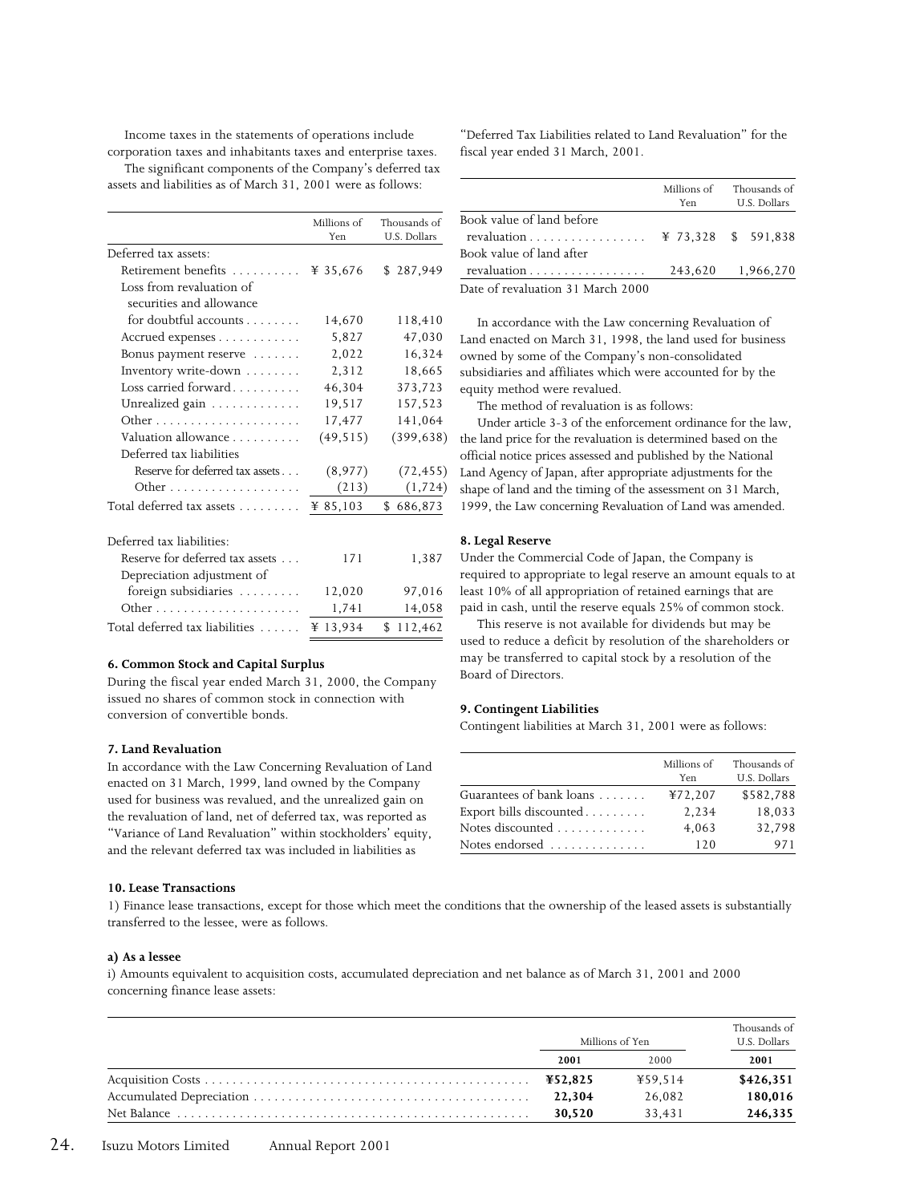Income taxes in the statements of operations include corporation taxes and inhabitants taxes and enterprise taxes. The significant components of the Company's deferred tax

assets and liabilities as of March 31, 2001 were as follows:

|                                 | Millions of<br>Yen | Thousands of<br>U.S. Dollars |
|---------------------------------|--------------------|------------------------------|
| Deferred tax assets:            |                    |                              |
| Retirement benefits             | ¥ 35,676           | \$287,949                    |
| Loss from revaluation of        |                    |                              |
| securities and allowance        |                    |                              |
| for doubtful accounts           | 14,670             | 118,410                      |
| Accrued expenses                | 5,827              | 47,030                       |
| Bonus payment reserve           | 2,022              | 16,324                       |
| Inventory write-down            | 2,312              | 18,665                       |
| Loss carried forward            | 46,304             | 373,723                      |
| Unrealized gain                 | 19,517             | 157,523                      |
|                                 | 17,477             | 141,064                      |
| Valuation allowance             | (49, 515)          | (399, 638)                   |
| Deferred tax liabilities        |                    |                              |
| Reserve for deferred tax assets | (8,977)            | (72, 455)                    |
|                                 | (213)              | (1, 724)                     |
| Total deferred tax assets       | ¥ 85,103           | 686,873<br>\$                |
| Deferred tax liabilities:       |                    |                              |
| Reserve for deferred tax assets | 171                | 1,387                        |
| Depreciation adjustment of      |                    |                              |
| foreign subsidiaries            | 12,020             | 97,016                       |
|                                 | 1,741              | 14,058                       |

#### **6. Common Stock and Capital Surplus**

During the fiscal year ended March 31, 2000, the Company issued no shares of common stock in connection with conversion of convertible bonds.

Total deferred tax liabilities ...... \\ \ 13,934 \ \ \$ 112,462

#### **7. Land Revaluation**

In accordance with the Law Concerning Revaluation of Land enacted on 31 March, 1999, land owned by the Company used for business was revalued, and the unrealized gain on the revaluation of land, net of deferred tax, was reported as "Variance of Land Revaluation" within stockholders' equity, and the relevant deferred tax was included in liabilities as

#### **10. Lease Transactions**

"Deferred Tax Liabilities related to Land Revaluation" for the fiscal year ended 31 March, 2001.

|                                                  | Millions of<br>Yen | Thousands of<br>U.S. Dollars |
|--------------------------------------------------|--------------------|------------------------------|
| Book value of land before                        |                    |                              |
| revaluation $\ldots \ldots \ldots \ldots \ldots$ |                    | ¥ 73.328 \$ 591.838          |
| Book value of land after                         |                    |                              |
| revaluation                                      |                    | 243,620 1,966,270            |
| Date of revaluation 31 March 2000                |                    |                              |

In accordance with the Law concerning Revaluation of Land enacted on March 31, 1998, the land used for business owned by some of the Company's non-consolidated subsidiaries and affiliates which were accounted for by the equity method were revalued.

The method of revaluation is as follows:

Under article 3-3 of the enforcement ordinance for the law, ) the land price for the revaluation is determined based on the official notice prices assessed and published by the National Land Agency of Japan, after appropriate adjustments for the shape of land and the timing of the assessment on 31 March, 1999, the Law concerning Revaluation of Land was amended.

#### **8. Legal Reserve**

Under the Commercial Code of Japan, the Company is required to appropriate to legal reserve an amount equals to at least 10% of all appropriation of retained earnings that are paid in cash, until the reserve equals 25% of common stock.

This reserve is not available for dividends but may be used to reduce a deficit by resolution of the shareholders or may be transferred to capital stock by a resolution of the Board of Directors.

#### **9. Contingent Liabilities**

Contingent liabilities at March 31, 2001 were as follows:

|                                         | Millions of<br>Yen | Thousands of<br>U.S. Dollars |
|-----------------------------------------|--------------------|------------------------------|
| Guarantees of bank loans                | ¥72,207            | \$582,788                    |
| Export bills discounted $\ldots \ldots$ | 2,234              | 18,033                       |
| Notes discounted $\ldots \ldots \ldots$ | 4,063              | 32,798                       |
| Notes endorsed $\ldots \ldots \ldots$   | 120                | 971                          |

1) Finance lease transactions, except for those which meet the conditions that the ownership of the leased assets is substantially transferred to the lessee, were as follows.

#### **a) As a lessee**

i) Amounts equivalent to acquisition costs, accumulated depreciation and net balance as of March 31, 2001 and 2000 concerning finance lease assets:

| Millions of Yen |         | Thousands of<br>U.S. Dollars |
|-----------------|---------|------------------------------|
| 2001            | 2000    | 2001                         |
| ¥52,825         | ¥59.514 | \$426,351                    |
| 22,304          | 26.082  | 180,016                      |
| 30,520          | 33.431  | 246,335                      |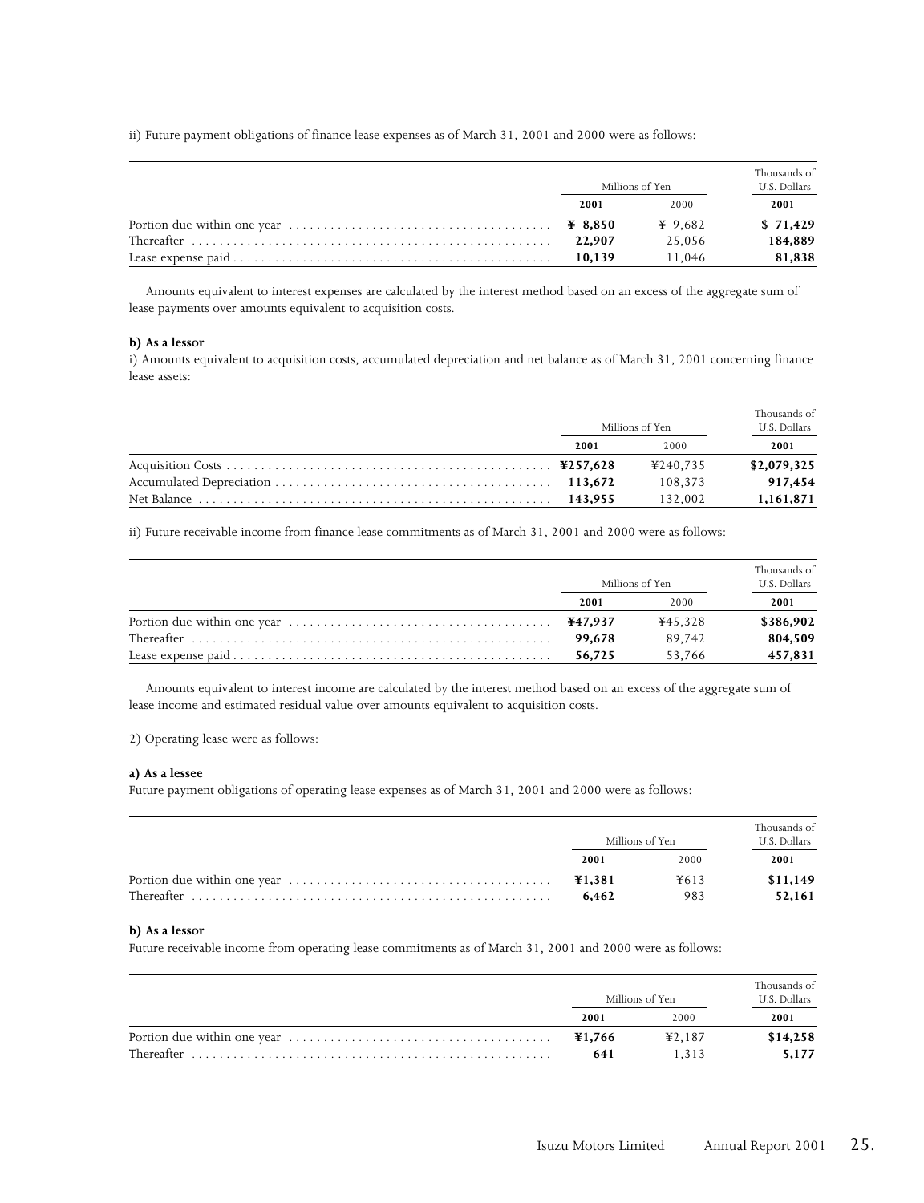ii) Future payment obligations of finance lease expenses as of March 31, 2001 and 2000 were as follows:

|                                                                                                                      | Millions of Yen |         | Thousands of<br>U.S. Dollars |
|----------------------------------------------------------------------------------------------------------------------|-----------------|---------|------------------------------|
|                                                                                                                      | 2001            | 2000    | 2001                         |
| Portion due within one year $\dots \dots \dots \dots \dots \dots \dots \dots \dots \dots \qquad \mathbf{4} \; 8,850$ |                 | ¥ 9.682 | \$71,429                     |
|                                                                                                                      | 22,907          | 25.056  | 184,889                      |
|                                                                                                                      | 10.139          | 11.046  | 81,838                       |

Amounts equivalent to interest expenses are calculated by the interest method based on an excess of the aggregate sum of lease payments over amounts equivalent to acquisition costs.

#### **b) As a lessor**

i) Amounts equivalent to acquisition costs, accumulated depreciation and net balance as of March 31, 2001 concerning finance lease assets:

| Millions of Yen |          | Thousands of<br>U.S. Dollars |  |
|-----------------|----------|------------------------------|--|
| 2001            | 2000     | 2001                         |  |
|                 | ¥240.735 | \$2,079,325                  |  |
| 113,672         | 108.373  | 917,454                      |  |
| 143.955         | 132.002  | 1,161,871                    |  |

ii) Future receivable income from finance lease commitments as of March 31, 2001 and 2000 were as follows:

| Millions of Yen |         | Thousands of<br>U.S. Dollars |  |
|-----------------|---------|------------------------------|--|
| 2001            | 2000    | 2001                         |  |
|                 | ¥45.328 | \$386,902                    |  |
| 99.678          | 89.742  | 804,509                      |  |
| 56.725          | 53.766  | 457,831                      |  |

Amounts equivalent to interest income are calculated by the interest method based on an excess of the aggregate sum of lease income and estimated residual value over amounts equivalent to acquisition costs.

2) Operating lease were as follows:

#### **a) As a lessee**

Future payment obligations of operating lease expenses as of March 31, 2001 and 2000 were as follows:

| Millions of Yen |      | Thousands of<br>U.S. Dollars |
|-----------------|------|------------------------------|
| 2001            | 2000 | 2001                         |
| ¥1,381          | ¥613 | \$11,149                     |
| 6.462           | 983  | 52,161                       |

#### **b) As a lessor**

Future receivable income from operating lease commitments as of March 31, 2001 and 2000 were as follows:

| Millions of Yen |        | Thousands of<br>U.S. Dollars |
|-----------------|--------|------------------------------|
| 2001            | 2000   | 2001                         |
| ¥1.766          | 42.187 | \$14,258                     |
| 641             | 1.313  | 5,177                        |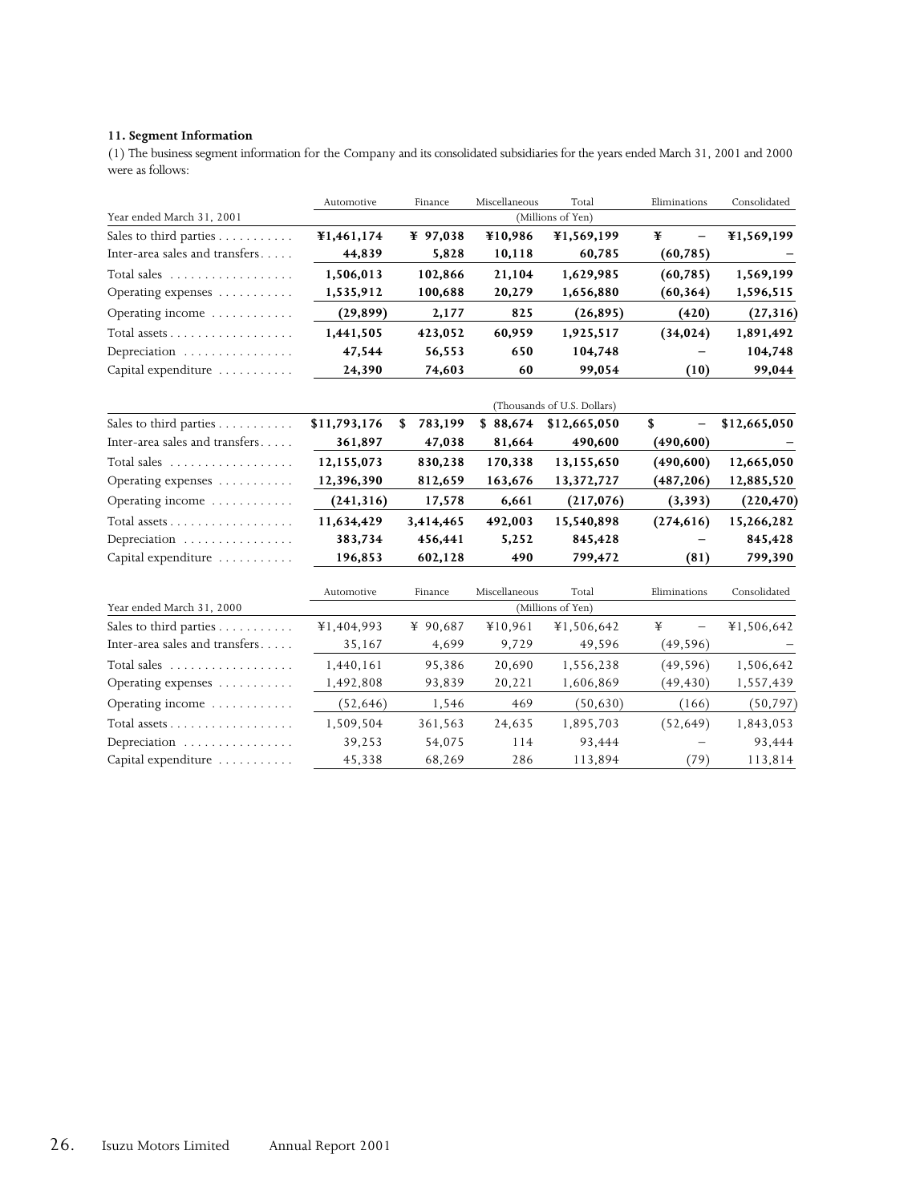#### **11. Segment Information**

(1) The business segment information for the Company and its consolidated subsidiaries for the years ended March 31, 2001 and 2000 were as follows:

|                                | Automotive   | Finance       | Miscellaneous | Total                       | Eliminations                   | Consolidated |
|--------------------------------|--------------|---------------|---------------|-----------------------------|--------------------------------|--------------|
| Year ended March 31, 2001      |              |               |               | (Millions of Yen)           |                                |              |
| Sales to third parties         | ¥1,461,174   | ¥ 97,038      | ¥10,986       | ¥1,569,199                  | ¥<br>$\overline{\phantom{0}}$  | ¥1,569,199   |
| Inter-area sales and transfers | 44,839       | 5,828         | 10,118        | 60,785                      | (60, 785)                      |              |
| Total sales                    | 1,506,013    | 102,866       | 21,104        | 1,629,985                   | (60, 785)                      | 1,569,199    |
| Operating expenses             | 1,535,912    | 100,688       | 20,279        | 1,656,880                   | (60, 364)                      | 1,596,515    |
| Operating income               | (29, 899)    | 2,177         | 825           | (26, 895)                   | (420)                          | (27, 316)    |
| Total assets                   | 1,441,505    | 423,052       | 60,959        | 1,925,517                   | (34, 024)                      | 1,891,492    |
| Depreciation                   | 47,544       | 56,553        | 650           | 104,748                     |                                | 104,748      |
| Capital expenditure            | 24,390       | 74,603        | 60            | 99,054                      | (10)                           | 99,044       |
|                                |              |               |               | (Thousands of U.S. Dollars) |                                |              |
| Sales to third parties         | \$11,793,176 | 783,199<br>\$ | \$88,674      | \$12,665,050                | \$<br>$\overline{\phantom{0}}$ | \$12,665,050 |
| Inter-area sales and transfers | 361,897      | 47,038        | 81,664        | 490,600                     | (490,600)                      |              |
| Total sales                    | 12,155,073   | 830,238       | 170,338       | 13,155,650                  | (490,600)                      | 12,665,050   |
| Operating expenses             | 12,396,390   | 812,659       | 163,676       | 13,372,727                  | (487, 206)                     | 12,885,520   |
| Operating income               | (241, 316)   | 17,578        | 6,661         | (217, 076)                  | (3, 393)                       | (220, 470)   |
| Total assets                   | 11,634,429   | 3,414,465     | 492,003       | 15,540,898                  | (274, 616)                     | 15,266,282   |
| Depreciation                   | 383,734      | 456,441       | 5,252         | 845,428                     |                                | 845,428      |
| Capital expenditure            | 196,853      | 602,128       | 490           | 799,472                     | (81)                           | 799,390      |
|                                | Automotive   | Finance       | Miscellaneous | Total                       | Eliminations                   | Consolidated |
| Year ended March 31, 2000      |              |               |               | (Millions of Yen)           |                                |              |
| Sales to third parties         | ¥1,404,993   | ¥ 90,687      | ¥10,961       | ¥1,506,642                  | ¥<br>$\overline{\phantom{0}}$  | ¥1,506,642   |
| Inter-area sales and transfers | 35,167       | 4,699         | 9,729         | 49,596                      | (49, 596)                      |              |
| Total sales                    | 1,440,161    | 95,386        | 20,690        | 1,556,238                   | (49, 596)                      | 1,506,642    |
| Operating expenses             | 1,492,808    | 93,839        | 20,221        | 1,606,869                   | (49, 430)                      | 1,557,439    |
| Operating income               | (52, 646)    | 1,546         | 469           | (50, 630)                   | (166)                          | (50, 797)    |
| Total assets                   | 1,509,504    | 361,563       | 24,635        | 1,895,703                   | (52, 649)                      | 1,843,053    |
| Depreciation                   | 39,253       | 54,075        | 114           | 93,444                      |                                | 93,444       |
| Capital expenditure            | 45,338       | 68,269        | 286           | 113,894                     | (79)                           | 113,814      |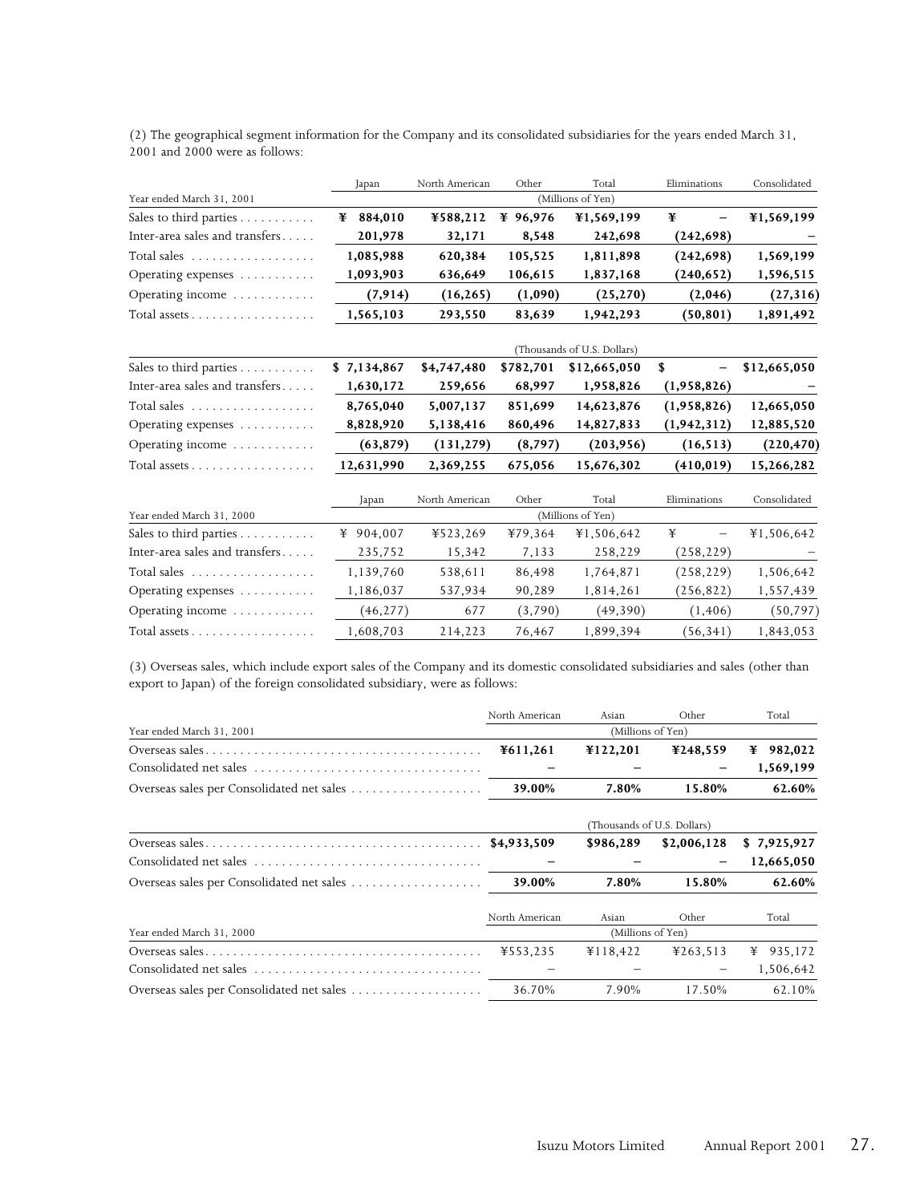|                                | Japan       | North American | Other     | Total                       | Eliminations                   | Consolidated |
|--------------------------------|-------------|----------------|-----------|-----------------------------|--------------------------------|--------------|
| Year ended March 31, 2001      |             |                |           | (Millions of Yen)           |                                |              |
| Sales to third parties         | ¥ 884,010   | ¥588,212       | ¥ 96,976  | ¥1,569,199                  | ¥                              | ¥1,569,199   |
| Inter-area sales and transfers | 201,978     | 32,171         | 8,548     | 242,698                     | (242, 698)                     |              |
| Total sales                    | 1,085,988   | 620,384        | 105,525   | 1,811,898                   | (242, 698)                     | 1,569,199    |
| Operating expenses             | 1,093,903   | 636,649        | 106,615   | 1,837,168                   | (240, 652)                     | 1,596,515    |
| Operating income               | (7, 914)    | (16, 265)      | (1,090)   | (25, 270)                   | (2,046)                        | (27, 316)    |
| Total assets                   | 1,565,103   | 293,550        | 83,639    | 1,942,293                   | (50, 801)                      | 1,891,492    |
|                                |             |                |           | (Thousands of U.S. Dollars) |                                |              |
| Sales to third parties         | \$7,134,867 | \$4,747,480    | \$782,701 | \$12,665,050                | \$<br>$\overline{\phantom{0}}$ | \$12,665,050 |
| Inter-area sales and transfers | 1,630,172   | 259,656        | 68,997    | 1,958,826                   | (1,958,826)                    |              |
| Total sales                    | 8,765,040   | 5,007,137      | 851,699   | 14,623,876                  | (1,958,826)                    | 12,665,050   |
| Operating expenses             | 8,828,920   | 5,138,416      | 860,496   | 14,827,833                  | (1, 942, 312)                  | 12,885,520   |
| Operating income               | (63, 879)   | (131, 279)     | (8, 797)  | (203,956)                   | (16, 513)                      | (220, 470)   |
| Total assets                   | 12,631,990  | 2,369,255      | 675,056   | 15,676,302                  | (410,019)                      | 15,266,282   |
|                                | Japan       | North American | Other     | Total                       | Eliminations                   | Consolidated |
| Year ended March 31, 2000      |             |                |           | (Millions of Yen)           |                                |              |
| Sales to third parties         | ¥ 904,007   | ¥523,269       | ¥79,364   | ¥1,506,642                  | ¥<br>$\overline{\phantom{0}}$  | ¥1,506,642   |
| Inter-area sales and transfers | 235,752     | 15,342         | 7,133     | 258,229                     | (258, 229)                     |              |
| Total sales                    | 1,139,760   | 538,611        | 86,498    | 1,764,871                   | (258, 229)                     | 1,506,642    |
| Operating expenses             | 1,186,037   | 537,934        | 90,289    | 1,814,261                   | (256, 822)                     | 1,557,439    |
| Operating income               | (46, 277)   | 677            | (3,790)   | (49,390)                    | (1, 406)                       | (50, 797)    |
| Total assets                   | 1,608,703   | 214,223        | 76,467    | 1,899,394                   | (56, 341)                      | 1,843,053    |

(2) The geographical segment information for the Company and its consolidated subsidiaries for the years ended March 31, 2001 and 2000 were as follows:

(3) Overseas sales, which include export sales of the Company and its domestic consolidated subsidiaries and sales (other than export to Japan) of the foreign consolidated subsidiary, were as follows:

|                           | North American              | Asian             | Other       | Total        |  |
|---------------------------|-----------------------------|-------------------|-------------|--------------|--|
| Year ended March 31, 2001 | (Millions of Yen)           |                   |             |              |  |
|                           | ¥611,261                    | ¥122,201          | ¥248,559    | 982,022<br>¥ |  |
| Consolidated net sales    |                             |                   |             | 1,569,199    |  |
|                           | 39.00%                      | 7.80%             | 15.80%      | 62.60%       |  |
|                           | (Thousands of U.S. Dollars) |                   |             |              |  |
|                           | \$4,933,509                 | \$986,289         | \$2,006,128 | \$7,925,927  |  |
| Consolidated net sales    |                             |                   | -           | 12,665,050   |  |
|                           | 39.00%                      | 7.80%             | 15.80%      | 62.60%       |  |
|                           | North American              | Asian             | Other       | Total        |  |
| Year ended March 31, 2000 |                             | (Millions of Yen) |             |              |  |
|                           | ¥553,235                    | ¥118,422          | ¥263,513    | 935,172<br>¥ |  |
|                           |                             |                   | -           | 1,506,642    |  |
|                           | 36.70%                      | 7.90%             | 17.50%      | 62.10%       |  |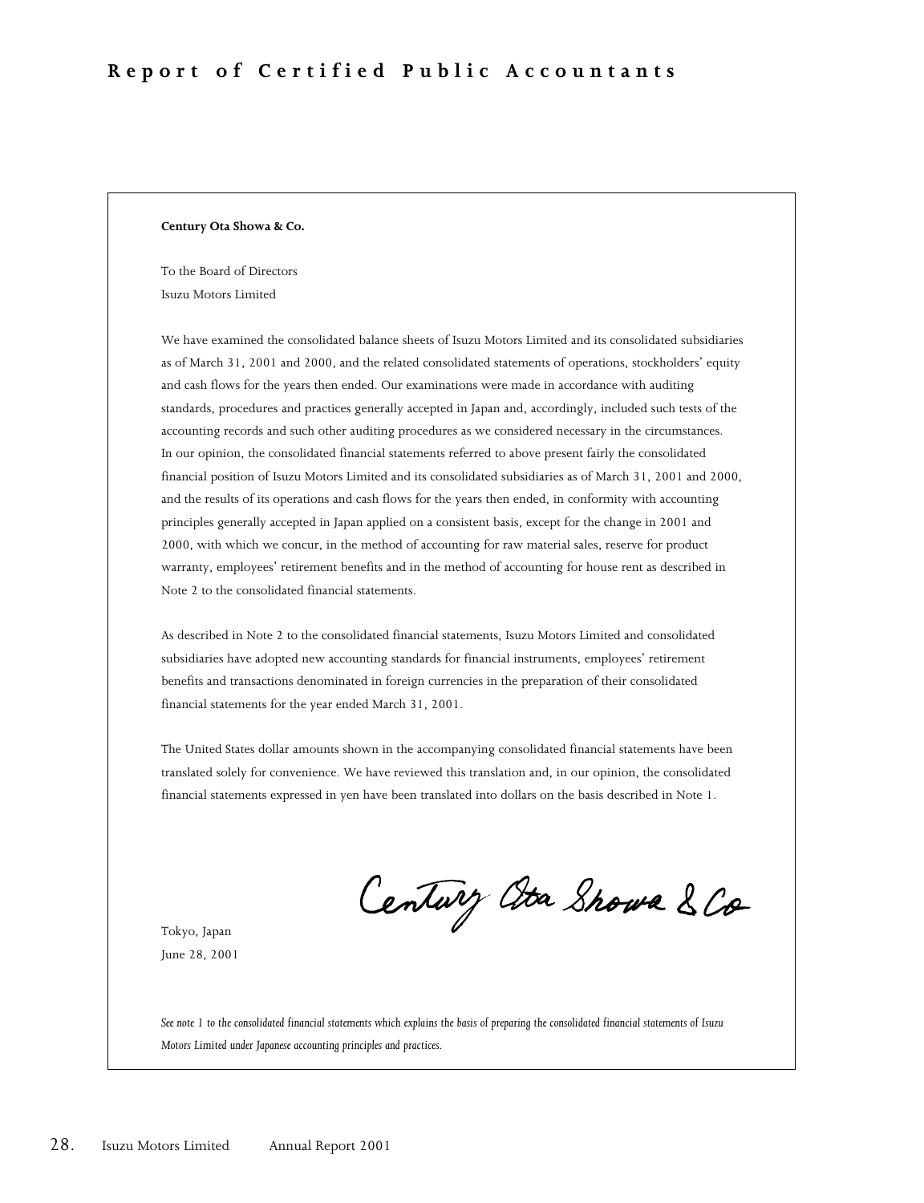#### **Century Ota Showa & Co.**

To the Board of Directors Isuzu Motors Limited

We have examined the consolidated balance sheets of Isuzu Motors Limited and its consolidated subsidiaries as of March 31, 2001 and 2000, and the related consolidated statements of operations, stockholders' equity and cash flows for the years then ended. Our examinations were made in accordance with auditing standards, procedures and practices generally accepted in Japan and, accordingly, included such tests of the accounting records and such other auditing procedures as we considered necessary in the circumstances. In our opinion, the consolidated financial statements referred to above present fairly the consolidated financial position of Isuzu Motors Limited and its consolidated subsidiaries as of March 31, 2001 and 2000, and the results of its operations and cash flows for the years then ended, in conformity with accounting principles generally accepted in Japan applied on a consistent basis, except for the change in 2001 and 2000, with which we concur, in the method of accounting for raw material sales, reserve for product warranty, employees' retirement benefits and in the method of accounting for house rent as described in Note 2 to the consolidated financial statements.

As described in Note 2 to the consolidated financial statements, Isuzu Motors Limited and consolidated subsidiaries have adopted new accounting standards for financial instruments, employees' retirement benefits and transactions denominated in foreign currencies in the preparation of their consolidated financial statements for the year ended March 31, 2001.

The United States dollar amounts shown in the accompanying consolidated financial statements have been translated solely for convenience. We have reviewed this translation and, in our opinion, the consolidated financial statements expressed in yen have been translated into dollars on the basis described in Note 1.

Century Ata Showa & Co

Tokyo, Japan June 28, 2001

*See note 1 to the consolidated financial statements which explains the basis of preparing the consolidated financial statements of Isuzu Motors Limited under Japanese accounting principles and practices.*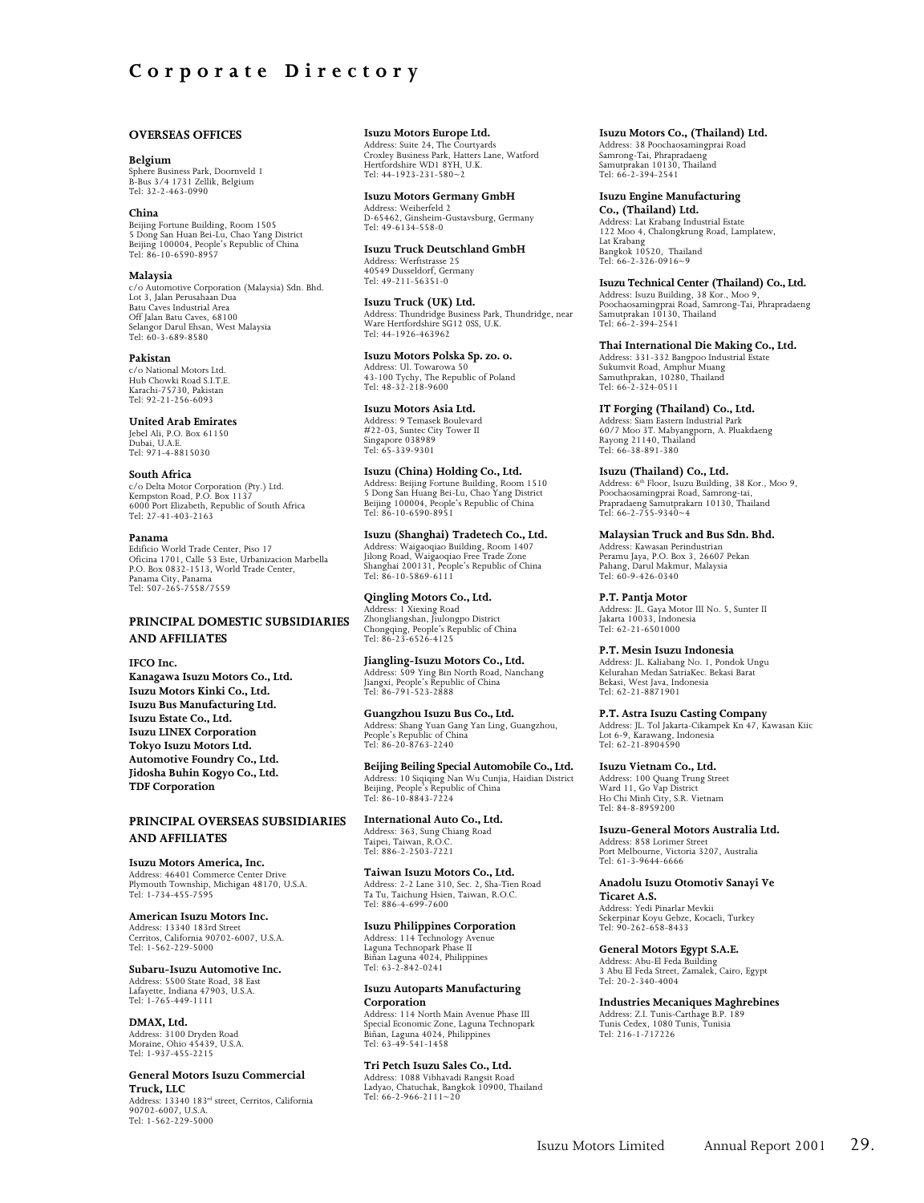#### **OVERSEAS OFFICES**

#### **Belgium**

Sphere Business Park, Doornveld 1 B-Bus 3/4 1731 Zellik, Belgium Tel: 32-2-463-0990

#### **China**

Beijing Fortune Building, Room 1505 5 Dong San Huan Bei-Lu, Chao Yang District Beijing 100004, People's Republic of China Tel: 86-10-6590-8957

#### **Malaysia**

c/o Automotive Corporation (Malaysia) Sdn. Bhd. Lot 3, Jalan Perusahaan Dua Batu Caves Industrial Area Off Jalan Batu Caves, 68100 Selangor Darul Ehsan, West Malaysia Tel: 60-3-689-8580

#### **Pakistan**

c/o National Motors Ltd. Hub Chowki Road S.I.T.E. Karachi-75730, Pakistan Tel: 92-21-256-6093

#### **United Arab Emirates**

Jebel Ali, P.O. Box 61150 Dubai, U.A.E. Tel: 971-4-8815030

#### **South Africa**

c/o Delta Motor Corporation (Pty.) Ltd. Kempston Road, P.O. Box 1137 6000 Port Elizabeth, Republic of South Africa Tel: 27-41-403-2163

#### **Panama**

Edificio World Trade Center, Piso 17 Oficina 1701, Calle 53 Este, Urbanizacion Marbella P.O. Box 0832-1513, World Trade Center, Panama City, Panama Tel: 507-265-7558/7559

#### **PRINCIPAL DOMESTIC SUBSIDIARIES AND AFFILIATES**

**IFCO Inc. Kanagawa Isuzu Motors Co., Ltd. Isuzu Motors Kinki Co., Ltd. Isuzu Bus Manufacturing Ltd. Isuzu Estate Co., Ltd. Isuzu LINEX Corporation Tokyo Isuzu Motors Ltd. Automotive Foundry Co., Ltd. Jidosha Buhin Kogyo Co., Ltd. TDF Corporation**

#### **PRINCIPAL OVERSEAS SUBSIDIARIES AND AFFILIATES**

**Isuzu Motors America, Inc.** Address: 46401 Commerce Center Drive Plymouth Township, Michigan 48170, U.S.A. Tel: 1-734-455-7595

**American Isuzu Motors Inc.** Address: 13340 183rd Street Cerritos, California 90702-6007, U.S.A. Tel: 1-562-229-5000

**Subaru-Isuzu Automotive Inc.** Address: 5500 State Road, 38 East Lafayette, Indiana 47903, U.S.A. Tel: 1-765-449-1111

**DMAX, Ltd.** Address: 3100 Dryden Road Moraine, Ohio 45439, U.S.A. Tel: 1-937-455-2215

**General Motors Isuzu Commercial Truck, LLC** Address: 13340 183rd street, Cerritos, California

90702-6007, U.S.A. Tel: 1-562-229-5000

**Isuzu Motors Europe Ltd.** Address: Suite 24, The Courtyards

Croxley Business Park, Hatters Lane, Watford Hertfordshire WD1 8YH, U.K. Tel: 44-1923-231-580~2

#### **Isuzu Motors Germany GmbH**

Address: Weiherfeld 2 D-65462, Ginsheim-Gustavsburg, Germany Tel: 49-6134-558-0

**Isuzu Truck Deutschland GmbH** Address: Werftstrasse 25 40549 Dusseldorf, Germany Tel: 49-211-56351-0

**Isuzu Truck (UK) Ltd.** Address: Thundridge Business Park, Thundridge, near Ware Hertfordshire SG12 0SS, U.K. Tel: 44-1926-463962

**Isuzu Motors Polska Sp. zo. o.**

Address: Ul. Towarowa 50 43-100 Tychy, The Republic of Poland Tel:  $48-32-218-9600$ 

**Isuzu Motors Asia Ltd.** Address: 9 Temasek Boulevard #22-03, Suntec City Tower II Singapore 038989 Tel: 65-339-9301

**Isuzu (China) Holding Co., Ltd.** Address: Beijing Fortune Building, Room 1510 5 Dong San Huang Bei-Lu, Chao Yang District Beijing 100004, People's Republic of China Tel: 86-10-6590-8951

**Isuzu (Shanghai) Tradetech Co., Ltd.** Address: Waigaoqiao Building, Room 1407 Jilong Road, Waigaoqiao Free Trade Zone Shanghai 200131, People's Republic of China Tel: 86-10-5869-6111

**Qingling Motors Co., Ltd.** Address: 1 Xiexing Road Zhongliangshan, Jiulongpo District Chongqing, People's Republic of China Tel: 86-23-6526-4125

**Jiangling-Isuzu Motors Co., Ltd.** Address: 509 Ying Bin North Road, Nanchang Jiangxi, People's Republic of China Tel: 86-791-523-2888

**Guangzhou Isuzu Bus Co., Ltd.** Address: Shang Yuan Gang Yan Ling, Guangzhou, People's Republic of China Tel: 86-20-8763-2240

**Beijing Beiling Special Automobile Co., Ltd.** Address: 10 Siqiqing Nan Wu Cunjia, Haidian District Beijing, People's Republic of China Tel: 86-10-8843-7224

**International Auto Co., Ltd.** Address: 363, Sung Chiang Road Taipei, Taiwan, R.O.C. Tel: 886-2-2503-7221

**Taiwan Isuzu Motors Co., Ltd.** Address: 2-2 Lane 310, Sec. 2, Sha-Tien Road Ta Tu, Taichung Hsien, Taiwan, R.O.C. Tel: 886-4-699-7600

**Isuzu Philippines Corporation** Address: 114 Technology Avenue Laguna Technopark Phase II Biñan Laguna 4024, Philippines Tel: 63-2-842-0241

#### **Isuzu Autoparts Manufacturing Corporation**

Address: 114 North Main Avenue Phase III Special Economic Zone, Laguna Technopark Biñan, Laguna 4024, Philippines Tel: 63-49-541-1458

**Tri Petch Isuzu Sales Co., Ltd.**

Address: 1088 Vibhavadi Rangsit Road Ladyao, Chatuchak, Bangkok 10900, Thailand Tel:  $66-2-966-2111-20$ 

**Isuzu Motors Co., (Thailand) Ltd.** Address: 38 Poochaosamingprai Road

Samrong-Tai, Phrapradaeng Samutprakan 10130, Thailand Tel: 66-2-394-2541

**Isuzu Engine Manufacturing Co., (Thailand) Ltd.** Address: Lat Krabang Industrial Estate 122 Moo 4, Chalongkrung Road, Lamplatew, Lat Krabang Bangkok 10520, Thailand Tel: 66-2-326-0916~9

**Isuzu Technical Center (Thailand) Co., Ltd.**

Address: Isuzu Building, 38 Kor., Moo 9, Poochaosamingprai Road, Samrong-Tai, Phrapradaeng Samutprakan 10130, Thailand Tel: 66-2-394-2541

**Thai International Die Making Co., Ltd.**

Address: 331-332 Bangpoo Industrial Estate Sukumvit Road, Amphur Muang Samuthprakan, 10280, Thailand Tel: 66-2-324-0511

**IT Forging (Thailand) Co., Ltd.**

Address: Siam Eastern Industrial Park 60/7 Moo 3T. Mabyangporn, A. Pluakdaeng Rayong 21140, Thailand Tel: 66-38-891-380

**Isuzu (Thailand) Co., Ltd.** Address: 6<sup>th</sup> Floor, Isuzu Building, 38 Kor., Moo 9,<br>Poochaosamingprai Road, Samrong-tai, Prapradaeng Samutprakarn 10130, Thailand Tel: 66-2-755-9340~4

**Malaysian Truck and Bus Sdn. Bhd.** Address: Kawasan Perindustrian Peramu Jaya, P.O. Box 3, 26607 Pekan Pahang, Darul Makmur, Malaysia Tel: 60-9-426-0340

**P.T. Pantja Motor** Address: JL. Gaya Motor III No. 5, Sunter II Jakarta 10033, Indonesia Tel: 62-21-6501000

**P.T. Mesin Isuzu Indonesia** Address: JL. Kaliabang No. 1, Pondok Ungu Kelurahan Medan SatriaKec. Bekasi Barat Bekasi, West Java, Indonesia Tel: 62-21-8871901

**P.T. Astra Isuzu Casting Company** Address: JL. Tol Jakarta-Cikampek Kn 47, Kawasan Kiic Lot 6-9, Karawang, Indonesia Tel: 62-21-8904590

**Isuzu Vietnam Co., Ltd.** Address: 100 Quang Trung Street Ward 11, Go Vap District Ho Chi Minh City, S.R. Vietnam Tel: 84-8-8959200

**Isuzu-General Motors Australia Ltd.** Address: 858 Lorimer Street Port Melbourne, Victoria 3207, Australia Tel: 61-3-9644-6666

**Anadolu Isuzu Otomotiv Sanayi Ve Ticaret A.S.** Address: Yedi Pinarlar Mevkii Sekerpinar Koyu Gebze, Kocaeli, Turkey Tel: 90-262-658-8433

**General Motors Egypt S.A.E.**

Address: Abu-El Feda Building 3 Abu El Feda Street, Zamalek, Cairo, Egypt Tel: 20-2-340-4004

**Industries Mecaniques Maghrebines** Address: Z.I. Tunis-Carthage B.P. 189 Tunis Cedex, 1080 Tunis, Tunisia Tel: 216-1-717226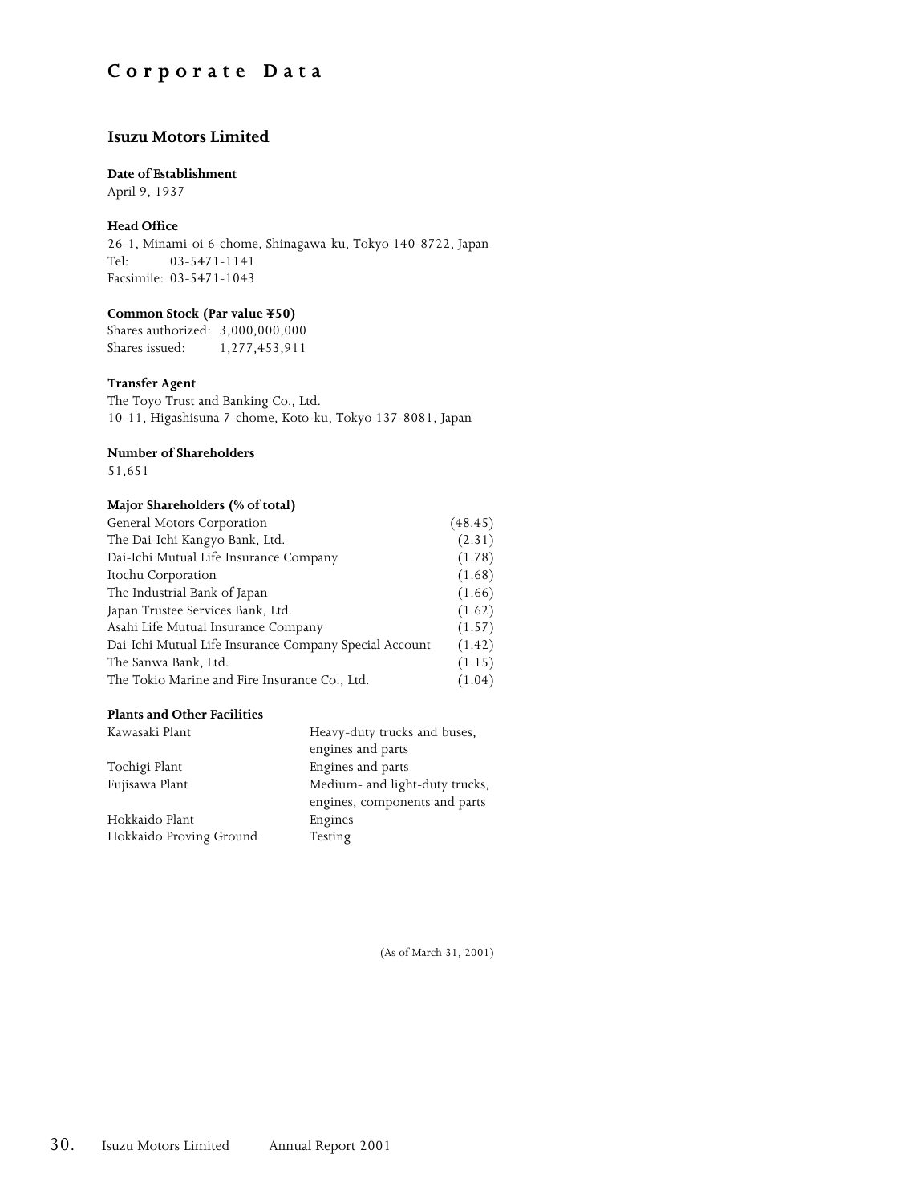## **Corporate Data**

### **Isuzu Motors Limited**

#### **Date of Establishment**

April 9, 1937

#### **Head Office**

26-1, Minami-oi 6-chome, Shinagawa-ku, Tokyo 140-8722, Japan Tel: 03-5471-1141 Facsimile: 03-5471-1043

#### **Common Stock (Par value ¥50)**

Shares authorized: 3,000,000,000 Shares issued: 1,277,453,911

#### **Transfer Agent**

The Toyo Trust and Banking Co., Ltd. 10-11, Higashisuna 7-chome, Koto-ku, Tokyo 137-8081, Japan

#### **Number of Shareholders**

51,651

#### **Major Shareholders (% of total)**

| General Motors Corporation                             | (48.45) |
|--------------------------------------------------------|---------|
| The Dai-Ichi Kangyo Bank, Ltd.                         | (2.31)  |
| Dai-Ichi Mutual Life Insurance Company                 | (1.78)  |
| Itochu Corporation                                     | (1.68)  |
| The Industrial Bank of Japan                           | (1.66)  |
| Japan Trustee Services Bank, Ltd.                      | (1.62)  |
| Asahi Life Mutual Insurance Company                    | (1.57)  |
| Dai-Ichi Mutual Life Insurance Company Special Account | (1.42)  |
| The Sanwa Bank, Ltd.                                   | (1.15)  |
| The Tokio Marine and Fire Insurance Co., Ltd.          | (1.04)  |

#### **Plants and Other Facilities**

| Kawasaki Plant          | Heavy-duty trucks and buses,   |
|-------------------------|--------------------------------|
|                         | engines and parts              |
| Tochigi Plant           | Engines and parts              |
| Fujisawa Plant          | Medium- and light-duty trucks, |
|                         | engines, components and parts  |
| Hokkaido Plant          | Engines                        |
| Hokkaido Proving Ground | Testing                        |

(As of March 31, 2001)